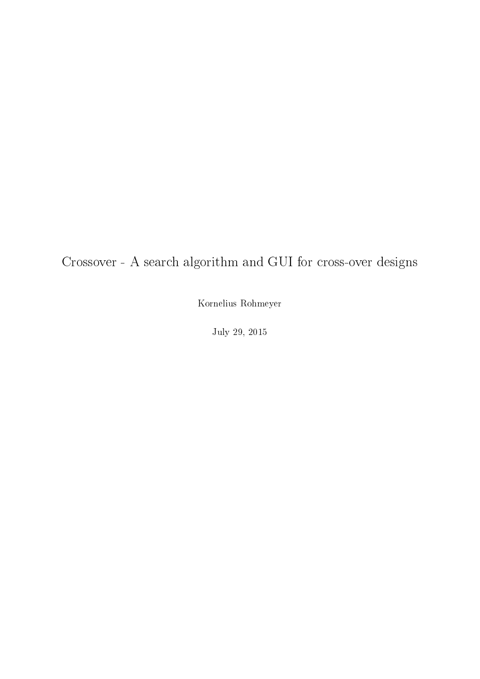<span id="page-0-0"></span>Crossover - A search algorithm and GUI for cross-over designs

Kornelius Rohmeyer

July 29, 2015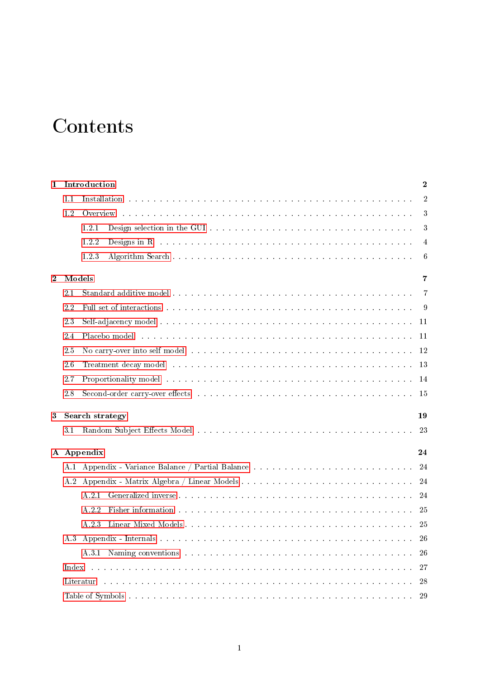# **Contents**

| $\mathbf{1}$   |        | Introduction           |                                                                                                                                                                                                                                | $\mathbf 2$    |
|----------------|--------|------------------------|--------------------------------------------------------------------------------------------------------------------------------------------------------------------------------------------------------------------------------|----------------|
|                | 1.1    |                        | Installation the contract of the contract of the contract of the contract of the contract of the contract of the contract of the contract of the contract of the contract of the contract of the contract of the contract of t | $\overline{2}$ |
|                | 1.2    |                        |                                                                                                                                                                                                                                | 3              |
|                |        | 1.2.1                  |                                                                                                                                                                                                                                | 3              |
|                |        | 1.2.2                  | Designs in R and a subsequently and a subsequently contact the contact of the contact of the contact of the contact of the contact of the contact of the contact of the contact of the contact of the contact of the contact o | $\overline{4}$ |
|                |        | 1.2.3                  |                                                                                                                                                                                                                                | 6              |
| $\overline{2}$ | Models |                        |                                                                                                                                                                                                                                | 7              |
|                | 2.1    |                        |                                                                                                                                                                                                                                | $\overline{7}$ |
|                | 2.2    |                        | Full set of interactions responses in the contract of the contract of the contract of the contract of the contract of the contract of the contract of the contract of the contract of the contract of the contract of the cont | -9             |
|                | 23     |                        |                                                                                                                                                                                                                                | 11             |
|                | 2.4    |                        | Placebo model and an annual and an annual and an annual and an annual and an annual and an annual and an annual and an annual and an annual and an annual and an annual and an annual and an annual and an annual and an annua | 11             |
|                | 2.5    |                        | No carry-over into self model entering the series of the series of the series of the series of the series of the series of the series of the series of the series of the series of the series of the series of the series of t | 12             |
|                | 2.6    |                        |                                                                                                                                                                                                                                | 13             |
|                | 2.7    |                        | Proportionality model the contract of the contract of the contract of the contract of the contract of the contract of the contract of the contract of the contract of the contract of the contract of the contract of the cont | 14             |
|                | 2.8    |                        | Second-order carry-over effects resources in the second order $\alpha$ . The second order $\alpha$ is a second order $\alpha$                                                                                                  | 15             |
| 3              |        | <b>Search strategy</b> |                                                                                                                                                                                                                                | 19             |
|                | 3.1    |                        |                                                                                                                                                                                                                                | 23             |
|                |        | A Appendix             |                                                                                                                                                                                                                                | 24             |
|                | A.1    |                        |                                                                                                                                                                                                                                | 24             |
|                | A 2    |                        |                                                                                                                                                                                                                                | 24             |
|                |        | A 2.1                  |                                                                                                                                                                                                                                | 24             |
|                |        | A.2.2                  | Fisher information the contract of the contract of the contract of the contract of the contract of the contract of the contract of the contract of the contract of the contract of the contract of the contract of the contrac | 25             |
|                |        | A.2.3                  |                                                                                                                                                                                                                                | 25             |
|                | A 3    |                        |                                                                                                                                                                                                                                | 26             |
|                |        |                        |                                                                                                                                                                                                                                | 26             |
|                | Index  |                        |                                                                                                                                                                                                                                | 27             |
|                |        | Literatur              | in distribution de la constitución de la constitución de la constitución de la constitución de la constitución                                                                                                                 | 28             |
|                |        |                        |                                                                                                                                                                                                                                | 29             |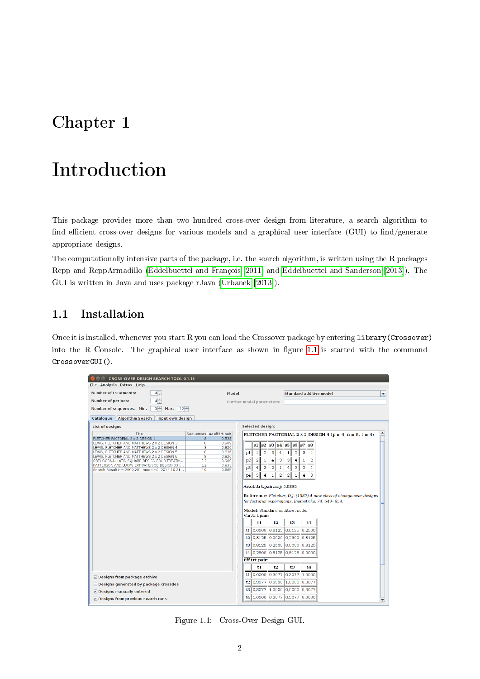## <span id="page-2-0"></span>Chapter 1

# Introduction

This package provides more than two hundred cross-over design from literature, a search algorithm to find efficient cross-over designs for various models and a graphical user interface (GUI) to find/generate appropriate designs.

The computationally intensive parts of the package, i.e. the search algorithm, is written using the R packages Rcpp and RcppArmadillo [\(Eddelbuettel and François](#page-28-1) [\[2011\]](#page-28-1) and [Eddelbuettel and Sanderson](#page-28-2) [\[2013\]](#page-28-2)). The GUI is written in Java and uses package rJava [\(Urbanek](#page-29-0) [\[2013\]](#page-29-0)).

## <span id="page-2-1"></span>1.1 Installation

Once it is installed, whenever you start R you can load the Crossover package by entering library(Crossover) into the R Console. The graphical user interface as shown in figure [1.1](#page-2-2) is started with the command CrossoverGUI().

| CROSS-OVER DESIGN SEARCH TOOL 0.1.13                                                           |               |                           |       |                |                             |                               |                         |                                         |                                |                                                                     |   |
|------------------------------------------------------------------------------------------------|---------------|---------------------------|-------|----------------|-----------------------------|-------------------------------|-------------------------|-----------------------------------------|--------------------------------|---------------------------------------------------------------------|---|
| Eile Analysis Extras Help                                                                      |               |                           |       |                |                             |                               |                         |                                         |                                |                                                                     |   |
| $4 -$<br><b>Number of treatments:</b>                                                          |               |                           | Model |                |                             |                               |                         |                                         |                                | <b>Standard additive model</b>                                      | ▼ |
| $4 -$<br><b>Number of periods:</b>                                                             |               |                           |       |                | Further model parameters: 1 |                               |                         |                                         |                                |                                                                     |   |
| Number of sequences: Min:<br>$5 -$<br>$ 12-$<br>Max:                                           |               |                           |       |                |                             |                               |                         |                                         |                                |                                                                     |   |
| <b>Algorithm Search</b>                                                                        |               |                           |       |                |                             |                               |                         |                                         |                                |                                                                     |   |
| Input own design<br>Catalogue                                                                  |               |                           |       |                |                             |                               |                         |                                         |                                |                                                                     |   |
| List of designs:                                                                               |               |                           |       |                | Selected design:            |                               |                         |                                         |                                |                                                                     |   |
| Title                                                                                          |               | Sequences av.eff.trt.pair |       |                |                             |                               |                         |                                         |                                | FLETCHER FACTORIAL 2 x 2 DESIGN 4 ( $p = 4$ , $n = 8$ , $t = 4$ )   |   |
| FLETCHER FACTORIAL 2 x 2 DESIGN 4<br>LEWIS. FLETCHER AND MATTHEWS 2 x 2 DESIGN 3               | $\bf{8}$<br>8 | 0.538<br>0.909            |       |                |                             |                               |                         |                                         |                                |                                                                     |   |
| LEWIS, FLETCHER AND MATTHEWS 2 x 2 DESIGN 4                                                    | 8             | 0.826                     |       |                | s1<br> s2                   | s3                            | $s4$ s5                 | $s6$ s7                                 | $_{\rm s8}$                    |                                                                     |   |
| LEWIS, FLETCHER AND MATTHEWS 2 x 2 DESIGN 5                                                    | 8             | 0.826                     |       | p <sub>1</sub> | $\mathbf{1}$                | $\overline{\mathbf{2}}$<br>3  | 4                       | $\overline{\mathbf{2}}$<br>$\mathbf{1}$ | 3<br>4                         |                                                                     |   |
| LEWIS, FLETCHER AND MATTHEWS 2 x 2 DESIGN 6                                                    | 8             | 0.826                     |       |                |                             |                               |                         |                                         |                                |                                                                     |   |
| ORTHOGONAL LATIN SQUARE DESIGN FOUR TREATM                                                     | 12            | 0.909<br>0.833            |       | p <sub>2</sub> | $\overline{a}$              | $\mathbf{1}$<br>4             | 3                       | з<br>4                                  | $\mathbf{1}$<br>$\overline{a}$ |                                                                     |   |
| PATTERSON AND LUCAS EXTRA-PERIOD DESIGN 33 (<br>Search Result n=(2000,20), model=0, 2014-10-31 | 12<br>10      | 0.885                     |       | p3             | $\overline{4}$              | 3<br>2                        | $\,1\,$                 | 3<br>4                                  | $\overline{a}$<br>$\,1\,$      |                                                                     |   |
|                                                                                                |               |                           |       | p <sub>4</sub> | з                           | $\overline{4}$<br>$\mathbf 1$ | $\overline{\mathbf{2}}$ | $\overline{a}$<br>$\,1\,$               | $\overline{4}$<br>3            |                                                                     |   |
|                                                                                                |               |                           |       |                |                             |                               |                         |                                         |                                |                                                                     |   |
|                                                                                                |               |                           |       |                |                             |                               |                         | Av.eff.trt.pair.adj: 0.5385             |                                |                                                                     |   |
|                                                                                                |               |                           |       |                |                             |                               |                         |                                         |                                |                                                                     |   |
|                                                                                                |               |                           |       |                |                             |                               |                         |                                         |                                | Reference: Fletcher, D.J. (1987) A new class of change-over designs |   |
|                                                                                                |               |                           |       |                |                             |                               |                         |                                         |                                | for factorial experiments. Biometrika, 74, 649--654.                |   |
|                                                                                                |               |                           |       |                |                             |                               |                         |                                         |                                |                                                                     |   |
|                                                                                                |               |                           |       |                |                             |                               |                         | Model: Standard additive model          |                                |                                                                     |   |
|                                                                                                |               |                           |       |                | Var.trt.pair:               |                               |                         |                                         |                                |                                                                     |   |
|                                                                                                |               |                           |       |                | t1                          |                               | t2                      | t3                                      | t4                             |                                                                     |   |
|                                                                                                |               |                           |       |                |                             |                               |                         | t1 0,0000 0,8125 0,8125 0,2500          |                                |                                                                     |   |
|                                                                                                |               |                           |       |                |                             |                               |                         | t2 0,8125 0,0000 0,2500 0,8125          |                                |                                                                     |   |
|                                                                                                |               |                           |       |                |                             |                               |                         | t3 0,8125 0,2500 0,0000 0,8125          |                                |                                                                     |   |
|                                                                                                |               |                           |       |                |                             |                               |                         | t4 0.2500 0.8125 0.8125 0.0000          |                                |                                                                     |   |
|                                                                                                |               |                           |       |                | Eff.trt.pair:               |                               |                         |                                         |                                |                                                                     |   |
|                                                                                                |               |                           |       |                | t1                          | t2                            |                         | t3                                      | t4                             |                                                                     |   |
| Designs from package archive                                                                   |               |                           |       |                | t1 0,0000 0,3077            |                               |                         | $0.3077$ 1.0000                         |                                |                                                                     |   |
| Designs generated by package crossdes                                                          |               |                           |       |                |                             |                               |                         | t2 0.3077 0.0000 1.0000 0.3077          |                                |                                                                     |   |
| Designs manually entered                                                                       |               |                           |       |                |                             |                               |                         | t3 0,3077 1,0000 0,0000 0,3077          |                                |                                                                     |   |
| $V$ Designs from previous search runs                                                          |               |                           |       |                | t4 1,0000 0,3077            |                               |                         | 0,3077 0,0000                           |                                |                                                                     |   |
|                                                                                                |               |                           |       |                |                             |                               |                         |                                         |                                |                                                                     |   |

<span id="page-2-2"></span>Figure 1.1: Cross-Over Design GUI.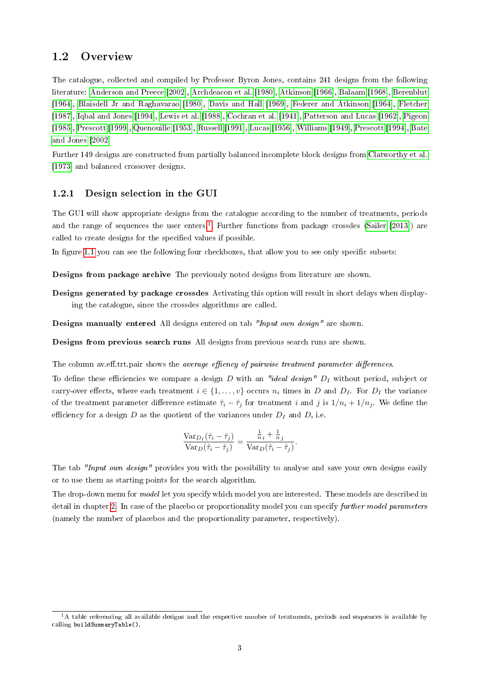### <span id="page-3-0"></span>1.2 Overview

The catalogue, collected and compiled by Professor Byron Jones, contains 241 designs from the following literature: [Anderson and Preece](#page-28-3) [\[2002\]](#page-28-3), [Archdeacon et al.](#page-28-4) [\[1980\]](#page-28-4), [Atkinson](#page-28-5) [\[1966\]](#page-28-5), [Balaam](#page-28-6) [\[1968\]](#page-28-6), [Berenblut](#page-28-7) [\[1964\]](#page-28-7), [Blaisdell Jr and Raghavarao](#page-28-8) [\[1980\]](#page-28-8), [Davis and Hall](#page-28-9) [\[1969\]](#page-28-9), [Federer and Atkinson](#page-28-10) [\[1964\]](#page-28-10), [Fletcher](#page-28-11) [\[1987\]](#page-28-11), [Iqbal and Jones](#page-28-12) [\[1994\]](#page-28-12), [Lewis et al.](#page-29-1) [\[1988\]](#page-29-1), [Cochran et al.](#page-28-13) [\[1941\]](#page-28-13), [Patterson and Lucas](#page-29-2) [\[1962\]](#page-29-2), [Pigeon](#page-29-3) [\[1985\]](#page-29-3), [Prescott](#page-29-4) [\[1999\]](#page-29-4), [Quenouille](#page-29-5) [\[1953\]](#page-29-5), [Russell](#page-29-6) [\[1991\]](#page-29-6), [Lucas](#page-29-7) [\[1956\]](#page-29-7), [Williams](#page-29-8) [\[1949\]](#page-29-8), [Prescott](#page-29-9) [\[1994\]](#page-29-9), [Bate](#page-28-14) [and Jones](#page-28-14) [\[2002\]](#page-28-14)

Further 149 designs are constructed from partially balanced incomplete block designs from [Clatworthy et al.](#page-28-15) [\[1973\]](#page-28-15) and balanced crossover designs.

#### <span id="page-3-1"></span>1.2.1 Design selection in the GUI

The GUI will show appropriate designs from the catalogue according to the number of treatments, periods and the range of sequences the user enters.<sup>[1](#page-0-0)</sup> Further functions from package crossdes [\(Sailer](#page-29-10) [\[2013\]](#page-29-10)) are called to create designs for the specified values if possible.

In figure [1.1](#page-2-2) you can see the following four checkboxes, that allow you to see only specific subsets:

Designs from package archive The previously noted designs from literature are shown.

Designs generated by package crossdes Activating this option will result in short delays when displaying the catalogue, since the crossdes algorithms are called.

Designs manually entered All designs entered on tab "Input own design" are shown.

Designs from previous search runs All designs from previous search runs are shown.

The column av.eff.trt.pair shows the *average effiency of pairwise treatment parameter differences*.

To define these efficiencies we compare a design D with an "ideal design"  $D_I$  without period, subject or carry-over effects, where each treatment  $i \in \{1, \ldots, v\}$  occurs  $n_i$  times in D and  $D_I$ . For  $D_I$  the variance of the treatment parameter difference estimate  $\hat{\tau}_i - \hat{\tau}_j$  for treatment i and j is  $1/n_i + 1/n_j$ . We define the efficiency for a design  $D$  as the quotient of the variances under  $D_I$  and  $D$ , i.e.

$$
\frac{\text{Var}_{D_I}(\hat{\tau}_i - \hat{\tau}_j)}{\text{Var}_D(\hat{\tau}_i - \hat{\tau}_j)} = \frac{\frac{1}{n_i} + \frac{1}{n_j}}{\text{Var}_D(\hat{\tau}_i - \hat{\tau}_j)}.
$$

The tab "Input own design" provides you with the possibility to analyse and save your own designs easily or to use them as starting points for the search algorithm.

The drop-down menu for model let you specify which model you are interested. These models are described in detail in chapter [2.](#page-7-0) In case of the placebo or proportionality model you can specify further model parameters (namely the number of placebos and the proportionality parameter, respectively).

 $1A$  table referencing all available designs and the respective number of treatments, periods and sequences is available by calling buildSummaryTable().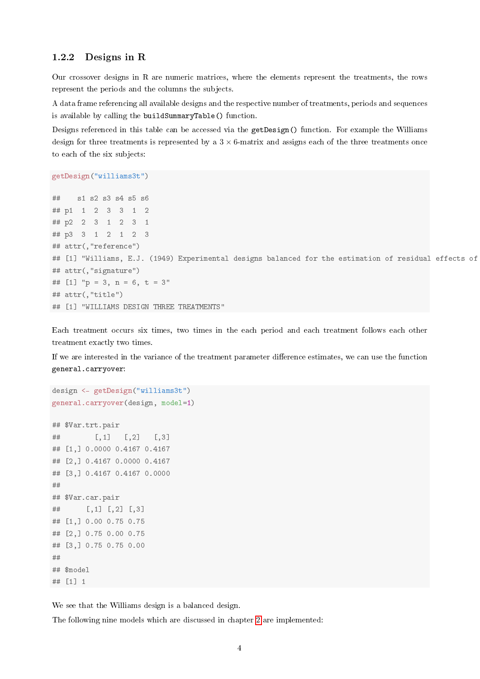#### <span id="page-4-0"></span>1.2.2 Designs in R

Our crossover designs in R are numeric matrices, where the elements represent the treatments, the rows represent the periods and the columns the subjects.

A data frame referencing all available designs and the respective number of treatments, periods and sequences is available by calling the buildSummaryTable() function.

Designs referenced in this table can be accessed via the getDesign() function. For example the Williams design for three treatments is represented by a  $3 \times 6$ -matrix and assigns each of the three treatments once to each of the six subjects:

```
getDesign("williams3t")
```

```
## s1 s2 s3 s4 s5 s6
## p1 1 2 3 3 1 2
## p2 2 3 1 2 3 1
## p3 3 1 2 1 2 3
## attr(,"reference")
## [1] "Williams, E.J. (1949) Experimental designs balanced for the estimation of residual effects of
## attr(,"signature")
## [1] "p = 3, n = 6, t = 3"
## attr(,"title")
## [1] "WILLIAMS DESIGN THREE TREATMENTS"
```
Each treatment occurs six times, two times in the each period and each treatment follows each other treatment exactly two times.

If we are interested in the variance of the treatment parameter difference estimates, we can use the function general.carryover:

```
design <- getDesign("williams3t")
general.carryover(design, model=1)
```

```
## $Var.trt.pair
## [,1] [,2] [,3]
## [1,] 0.0000 0.4167 0.4167
## [2,] 0.4167 0.0000 0.4167
## [3,] 0.4167 0.4167 0.0000
##
## $Var.car.pair
## [,1] [,2] [,3]
## [1,] 0.00 0.75 0.75
## [2,] 0.75 0.00 0.75
## [3,] 0.75 0.75 0.00
##
## $model
## [1] 1
```
We see that the Williams design is a balanced design.

The following nine models which are discussed in chapter [2](#page-7-0) are implemented: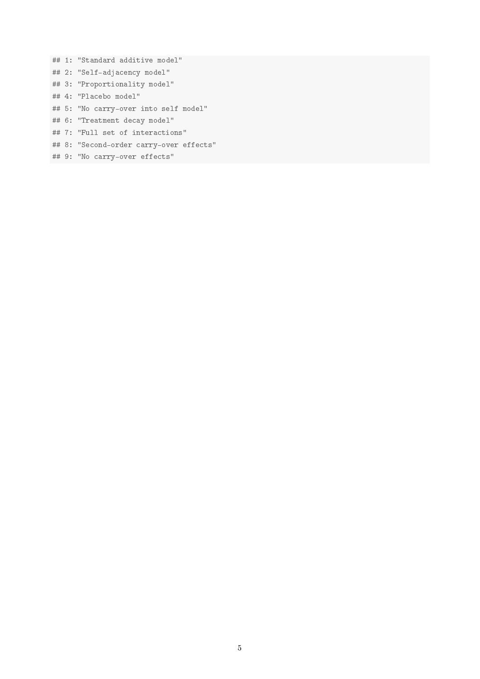## 1: "Standard additive model" ## 2: "Self-adjacency model" ## 3: "Proportionality model" ## 4: "Placebo model" ## 5: "No carry-over into self model" ## 6: "Treatment decay model" ## 7: "Full set of interactions" ## 8: "Second-order carry-over effects"

## 9: "No carry-over effects"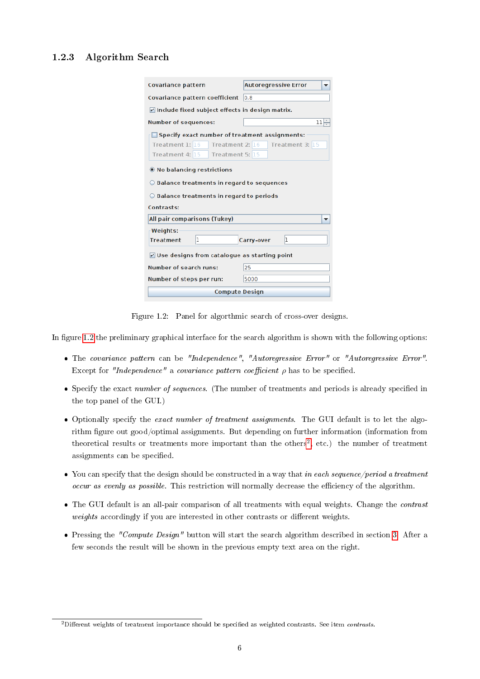### <span id="page-6-0"></span>1.2.3 Algorithm Search

| Covariance pattern                                                                                                         | <b>Autoregressive Error</b> |
|----------------------------------------------------------------------------------------------------------------------------|-----------------------------|
| Covariance pattern coefficient                                                                                             | 0.8                         |
| $\triangledown$ Include fixed subject effects in design matrix.                                                            |                             |
| <b>Number of sequences:</b>                                                                                                | 11 ÷                        |
| Specify exact number of treatment assignments:<br>Treatment 1: 16<br>Treatment 2: 16<br>Treatment 4: 15<br>Treatment 5: 15 | Treatment 3: 15             |
| <b>O</b> No balancing restrictions                                                                                         |                             |
| $\bigcirc$ Balance treatments in regard to sequences                                                                       |                             |
| $\bigcirc$ Balance treatments in regard to periods                                                                         |                             |
| Contrasts:                                                                                                                 |                             |
| All pair comparisons (Tukey)                                                                                               |                             |
| Weights:<br>1<br><b>Treatment</b>                                                                                          | 1<br>Carry-over             |
| $\triangledown$ Use designs from catalogue as starting point                                                               |                             |
| <b>Number of search runs:</b>                                                                                              | 25                          |
| Number of steps per run:                                                                                                   | 5000                        |
| <b>Compute Design</b>                                                                                                      |                             |

<span id="page-6-1"></span>Figure 1.2: Panel for algorthmic search of cross-over designs.

In figure [1.2](#page-6-1) the preliminary graphical interface for the search algorithm is shown with the following options:

- The covariance pattern can be "Independence", "Autoregressive Error" or "Autoregressive Error". Except for "Independence" a covariance pattern coefficient  $\rho$  has to be specified.
- Specify the exact number of sequences. (The number of treatments and periods is already specified in the top panel of the GUI.)
- Optionally specify the exact number of treatment assignments. The GUI default is to let the algorithm figure out good/optimal assignments. But depending on further information (information from theoretical results or treatments more important than the others<sup>[2](#page-0-0)</sup>, etc.) the number of treatment assignments can be specified.
- $\bullet$  You can specify that the design should be constructed in a way that in each sequence/period a treatment occur as evenly as possible. This restriction will normally decrease the efficiency of the algorithm.
- The GUI default is an all-pair comparison of all treatments with equal weights. Change the *contrast*  $weights$  accordingly if you are interested in other contrasts or different weights.
- Pressing the "Compute Design" button will start the search algorithm described in section [3.](#page-19-0) After a few seconds the result will be shown in the previous empty text area on the right.

 $2$ Different weights of treatment importance should be specified as weighted contrasts. See item *contrasts*.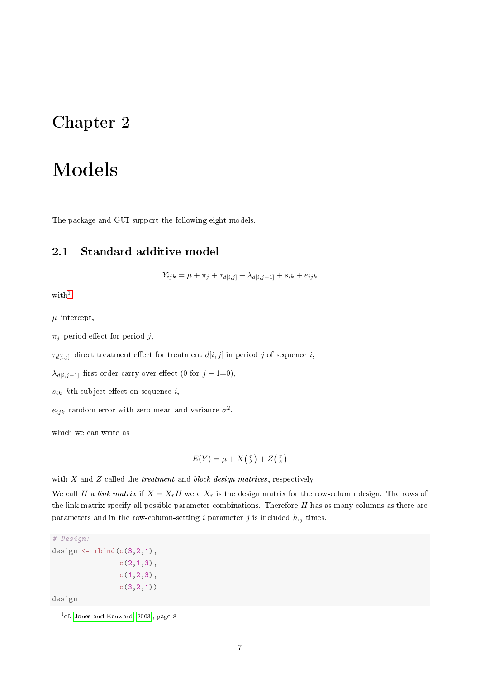## <span id="page-7-2"></span><span id="page-7-0"></span>Chapter 2

# Models

The package and GUI support the following eight models.

### <span id="page-7-1"></span>2.1 Standard additive model

 $Y_{ijk} = \mu + \pi_j + \tau_{d[i,j]} + \lambda_{d[i,j-1]} + s_{ik} + e_{ijk}$ 

 $with<sup>1</sup>$  $with<sup>1</sup>$  $with<sup>1</sup>$ 

 $\mu$  intercept,

 $\pi_i$  period effect for period j,

 $\tau_{d[i,j]}$  direct treatment effect for treatment  $d[i,j]$  in period j of sequence i,

 $\lambda_{d[i,j-1]}$  first-order carry-over effect (0 for  $j - 1=0$ ),

 $s_{ik}$  kth subject effect on sequence i,

 $e_{ijk}$  random error with zero mean and variance  $\sigma^2$ .

which we can write as

$$
E(Y) = \mu + X(\tbinom{\tau}{\lambda}) + Z(\tfrac{\pi}{s})
$$

with  $X$  and  $Z$  called the *treatment* and *block design matrices*, respectively.

We call H a link matrix if  $X = X_rH$  were  $X_r$  is the design matrix for the row-column design. The rows of the link matrix specify all possible parameter combinations. Therefore  $H$  has as many columns as there are parameters and in the row-column-setting i parameter  $j$  is included  $h_{ij}$  times.

```
# Design:
design \le rbind(c(3,2,1),
                c(2,1,3),
                c(1,2,3),
                 c(3,2,1)design
```
<sup>&</sup>lt;sup>1</sup>cf. [Jones and Kenward](#page-29-11) [\[2003\]](#page-29-11), page 8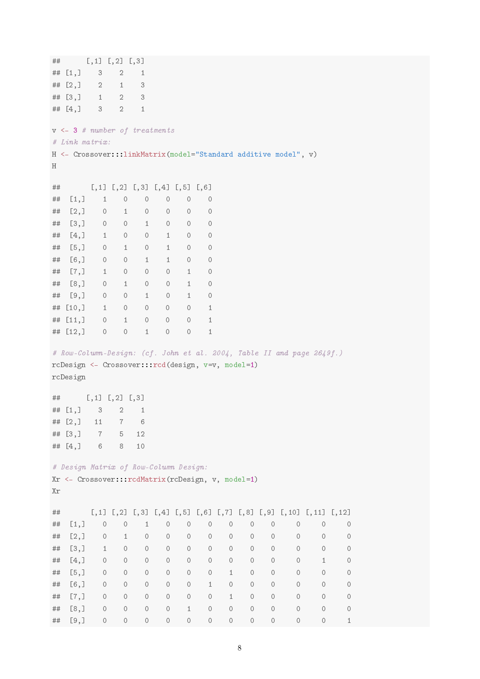```
## [,1] [,2] [,3]
## [1,] 3 2 1
\# [2,] 2 1 3
\# [3,] 1 2 3
\## [4,] 3 2 1
v <- 3 # number of treatments
# Link matrix:
H <- Crossover:::linkMatrix(model="Standard additive model", v)
H
## [,1] [,2] [,3] [,4] [,5] [,6]
## [1,] 1 0 0 0 0 0
## [2,] 0 1 0 0 0 0
## [3,] 0 0 1 0 0 0
## [4,] 1 0 0 1 0 0
## [5,] 0 1 0 1 0 0
## [6,] 0 0 1 1 0 0
## [7,] 1 0 0 0 1 0
## [8,] 0 1 0 0 1 0
## [9,] 0 0 1 0 1 0
## [10,] 1 0 0 0 0 1
## [11,] 0 1 0 0 0 1
## [12,] 0 0 1 0 0 1
# Row-Column-Design: (cf. John et al. 2004, Table II and page 2649f.)
rcDesign <- Crossover:::rcd(design, v=v, model=1)
rcDesign
\# [ ,1] [ ,2] [ ,3]## [1,] 3 2 1
## [2,] 11 7 6
## [3,] 7 5 12
## [4,] 6 8 10
# Design Matrix of Row-Column Design:
Xr <- Crossover:::rcdMatrix(rcDesign, v, model=1)
Xr
## [,1] [,2] [,3] [,4] [,5] [,6] [,7] [,8] [,9] [,10] [,11] [,12]
## [1,] 0 0 1 0 0 0 0 0 0 0 0 0
## [2,] 0 1 0 0 0 0 0 0 0 0 0 0
## [3,] 1 0 0 0 0 0 0 0 0 0 0 0
## [4,] 0 0 0 0 0 0 0 0 0 0 1 0
## [5,] 0 0 0 0 0 0 1 0 0 0 0 0
## [6,] 0 0 0 0 0 1 0 0 0 0 0 0
## [7,] 0 0 0 0 0 0 1 0 0 0 0 0
## [8,] 0 0 0 0 1 0 0 0 0 0 0 0
## [9,] 0 0 0 0 0 0 0 0 0 0 0 1
```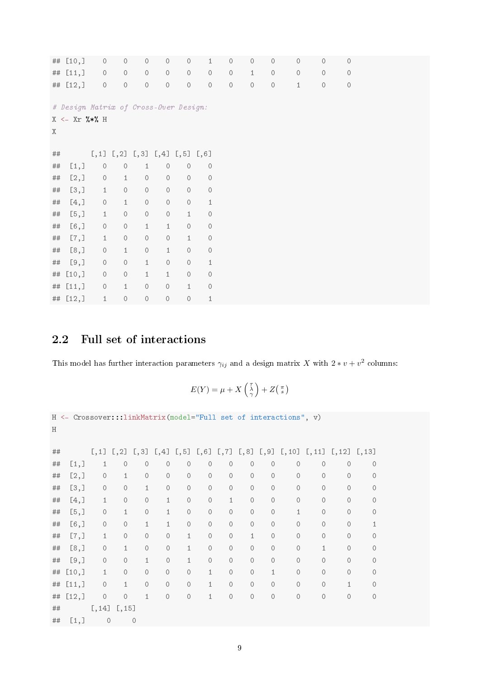<span id="page-9-1"></span>

|         | ## [10,]                              | $\circ$                                   | $\circ$      | $\circ$      | $\circ$      | $\circ$      | 1                   | $\circ$      | $\circ$ | $\circ$  | $\circ$ | $\circ$  | $\circ$      |  |
|---------|---------------------------------------|-------------------------------------------|--------------|--------------|--------------|--------------|---------------------|--------------|---------|----------|---------|----------|--------------|--|
|         | ## $[11, ]$                           | $\circ$                                   | $\circ$      | $\circ$      | $\circ$      | $\cal O$     | $\cal O$            | $\cal O$     | $\,1\,$ | $\circ$  | $\circ$ | $\circ$  | 0            |  |
|         | ## $[12,]$                            | $\cal O$                                  | $\cal O$     | $\circ$      | $\cal O$     | $\mathcal O$ | $\cal O$            | $\mathcal O$ | $\circ$ | $\cal O$ | $1\,$   | $\cal O$ | $\mathcal O$ |  |
|         |                                       |                                           |              |              |              |              |                     |              |         |          |         |          |              |  |
|         | # Design Matrix of Cross-Over Design: |                                           |              |              |              |              |                     |              |         |          |         |          |              |  |
|         | $X \leftarrow Xr$ %*% H               |                                           |              |              |              |              |                     |              |         |          |         |          |              |  |
| X       |                                       |                                           |              |              |              |              |                     |              |         |          |         |          |              |  |
|         |                                       |                                           |              |              |              |              |                     |              |         |          |         |          |              |  |
| $\# \#$ |                                       | $[,1]$ $[,2]$ $[,3]$ $[,4]$ $[,5]$ $[,6]$ |              |              |              |              |                     |              |         |          |         |          |              |  |
| $\# \#$ | [1,]                                  | $\cal O$                                  | $\cal O$     | $\mathbf{1}$ | $\circ$      | $\circ$      | $\circ$             |              |         |          |         |          |              |  |
| $\# \#$ | [2,]                                  | $\cal O$                                  | $1\,$        | $\bigcirc$   | $\cal O$     | $\circ$      | $\cal O$            |              |         |          |         |          |              |  |
| ##      | [3,]                                  | $\mathbf{1}$                              | $\circ$      | $\cal O$     | $\cal O$     | $\circ$      | $\mathsf{O}\xspace$ |              |         |          |         |          |              |  |
| $\# \#$ | [4,]                                  | $\cal O$                                  | $\,1\,$      | $\cal O$     | $\cal O$     | $\mathcal O$ | $\mathbf{1}$        |              |         |          |         |          |              |  |
| ##      | [5,]                                  | $\,1\,$                                   | $\cal O$     | $\cal O$     | $\cal O$     | $\,1\,$      | $\mathsf{O}\xspace$ |              |         |          |         |          |              |  |
| $\# \#$ | $[6,$ ]                               | $\circ$                                   | $\circ$      | $\mathbf{1}$ | $\mathbf{1}$ | $\cal O$     | $\cal O$            |              |         |          |         |          |              |  |
| $\# \#$ | [7,]                                  | $\mathbf{1}$                              | $\circ$      | $\bigcirc$   | $\cal O$     | $\mathbf 1$  | $\cal O$            |              |         |          |         |          |              |  |
| ##      | [8,]                                  | $\circ$                                   | $\mathbf{1}$ | $\circ$      | $\mathbf{1}$ | $\circ$      | $\mathsf{O}\xspace$ |              |         |          |         |          |              |  |
| ##      | [9,]                                  | $\cal O$                                  | $\circ$      | $\mathbf{1}$ | $\cal O$     | $\circ$      | $\mathbf{1}$        |              |         |          |         |          |              |  |
|         | ## $[10, ]$                           | $\cal O$                                  | $\cal O$     | $\mathbf{1}$ | $1\,$        | $\circ$      | $\cal O$            |              |         |          |         |          |              |  |
| ##      | [11,]                                 | $\mathsf{O}\xspace$                       | $1\,$        | $\cal O$     | $\circ$      | $\mathbf{1}$ | $\cal O$            |              |         |          |         |          |              |  |
|         | ## [12,]                              | $\mathbf{1}$                              | $\cal O$     | $\circ$      | $\cal O$     | $\cal O$     | $\mathbf{1}$        |              |         |          |         |          |              |  |

## <span id="page-9-0"></span>2.2 Full set of interactions

This model has further interaction parameters  $\gamma_{ij}$  and a design matrix X with  $2 * v + v^2$  columns:

$$
E(Y) = \mu + X\left(\begin{matrix} \tau \\ \lambda \\ \gamma \end{matrix}\right) + Z\left(\begin{matrix} \pi \\ s \end{matrix}\right)
$$

| H  |       |              |              |              |              |              |                |              |              |              | H <- Crossover:::linkMatrix(model="Full set of interactions", v)                                                                                                                                                                                                        |              |              |               |  |
|----|-------|--------------|--------------|--------------|--------------|--------------|----------------|--------------|--------------|--------------|-------------------------------------------------------------------------------------------------------------------------------------------------------------------------------------------------------------------------------------------------------------------------|--------------|--------------|---------------|--|
| ## |       |              |              |              |              |              |                |              |              |              | $\lbrack ,1\rbrack$ $\lbrack ,2\rbrack$ $\lbrack ,3\rbrack$ $\lbrack ,4\rbrack$ $\lbrack ,5\rbrack$ $\lbrack ,6\rbrack$ $\lbrack ,7\rbrack$ $\lbrack ,8\rbrack$ $\lbrack ,9\rbrack$ $\lbrack ,10\rbrack$ $\lbrack ,11\rbrack$ $\lbrack ,12\rbrack$ $\lbrack ,13\rbrack$ |              |              |               |  |
| ## | [1,]  | 1            | $\circ$      | $\circ$      | $\circ$      | $\circ$      | $\circ$        | $\circ$      | $\circ$      | $\circ$      | $\circ$                                                                                                                                                                                                                                                                 | $\circ$      | $\circ$      | $\circ$       |  |
| ## | [2,]  | $\circ$      | $\mathbf{1}$ | $\circ$      | $\circ$      | $\circ$      | $\circ$        | $\circ$      | $\circ$      | $\circ$      | $\circ$                                                                                                                                                                                                                                                                 | $\circ$      | $\Omega$     | $\circ$       |  |
| ## | [3,]  | $\circ$      | $\circ$      | $\mathbf{1}$ | $\circ$      | $\circ$      | 0              | $\circ$      | $\circ$      | $\circ$      | $\Omega$                                                                                                                                                                                                                                                                | $\Omega$     | $\Omega$     | $\circ$       |  |
| ## | [4,]  | $\mathbf{1}$ | $\circ$      | $\circ$      | $\mathbf{1}$ | $\circ$      | $\circ$        | $\mathbf{1}$ | $\circ$      | $\Omega$     | $\Omega$                                                                                                                                                                                                                                                                | $\circ$      | $\Omega$     | $\mathcal{O}$ |  |
| ## | [5,]  | $\circ$      | $\mathbf{1}$ | $\circ$      | $\mathbf{1}$ | $\circ$      | 0              | $\circ$      | $\circ$      | $\circ$      | $\mathbf{1}$                                                                                                                                                                                                                                                            | $\circ$      | $\circ$      | $\circ$       |  |
| ## | [6,]  | 0            | $\circ$      | $\mathbf{1}$ | $\mathbf{1}$ | $\circ$      | 0              | $\circ$      | $\circ$      | $\circ$      | $\circ$                                                                                                                                                                                                                                                                 | $\circ$      | $\circ$      | $\mathbf{1}$  |  |
| ## | [7,]  | 1            | $\circ$      | $\circ$      | $\circ$      | $\mathbf{1}$ | $\circ$        | $\circ$      | $\mathbf{1}$ | $\circ$      | $\circ$                                                                                                                                                                                                                                                                 | $\circ$      | $\circ$      | $\circ$       |  |
| ## | [8,]  | $\circ$      | $\mathbf{1}$ | $\circ$      | $\circ$      | $\mathbf{1}$ | $\overline{O}$ | $\circ$      | $\circ$      | $\Omega$     | $\Omega$                                                                                                                                                                                                                                                                | $\mathbf{1}$ | $\Omega$     | $\Omega$      |  |
| ## | [9,]  | $\circ$      | $\circ$      | $\mathbf{1}$ | $\circ$      | $\mathbf{1}$ | $\overline{O}$ | $\circ$      | $\circ$      | $\Omega$     | $\Omega$                                                                                                                                                                                                                                                                | $\Omega$     | $\Omega$     | $\circ$       |  |
| ## | [10,  | $\mathbf{1}$ | $\circ$      | $\circ$      | $\circ$      | $\circ$      | $\mathbf{1}$   | $\circ$      | $\circ$      | $\mathbf{1}$ | $\circ$                                                                                                                                                                                                                                                                 | $\circ$      | $\Omega$     | $\circ$       |  |
| ## | [11,] | $\circ$      | $\mathbf{1}$ | $\circ$      | $\circ$      | $\circ$      | $\mathbf{1}$   | $\circ$      | $\Omega$     | $\circ$      | $\Omega$                                                                                                                                                                                                                                                                | $\Omega$     | $\mathbf{1}$ | $\circ$       |  |
| ## | [12,] | $\circ$      | $\circ$      | $\mathbf{1}$ | $\circ$      | $\circ$      | $\mathbf{1}$   | $\circ$      | $\circ$      | $\circ$      | $\circ$                                                                                                                                                                                                                                                                 | $\circ$      | $\circ$      | $\circ$       |  |
| ## |       | [, 14]       | [, 15]       |              |              |              |                |              |              |              |                                                                                                                                                                                                                                                                         |              |              |               |  |
| ## | [1,]  | $\circ$      |              | $\circ$      |              |              |                |              |              |              |                                                                                                                                                                                                                                                                         |              |              |               |  |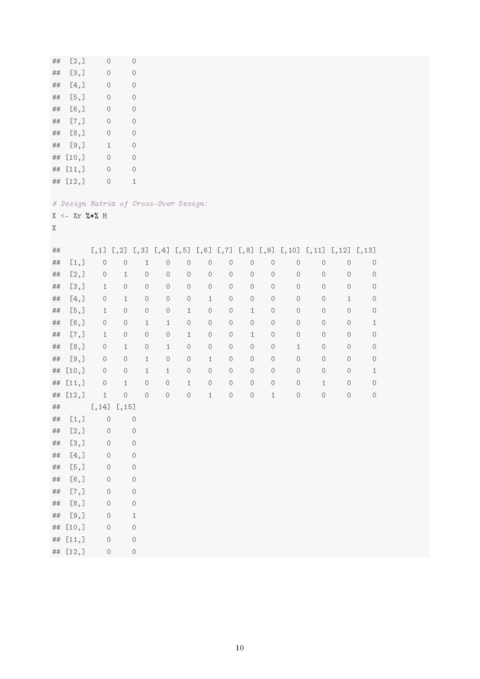| ##      | [2,]                    | $\circ$                               |              | 0            |              |          |              |                     |          |              |              |                                                                                                             |         |                     |  |
|---------|-------------------------|---------------------------------------|--------------|--------------|--------------|----------|--------------|---------------------|----------|--------------|--------------|-------------------------------------------------------------------------------------------------------------|---------|---------------------|--|
| ##      | [3,]                    | $\bigcirc$                            |              | 0            |              |          |              |                     |          |              |              |                                                                                                             |         |                     |  |
| ##      | [4,]                    | $\bigcirc$                            |              | 0            |              |          |              |                     |          |              |              |                                                                                                             |         |                     |  |
| ##      | [5,]                    | $\bigcirc$                            |              | $\circ$      |              |          |              |                     |          |              |              |                                                                                                             |         |                     |  |
| ##      | $[6,$ ]                 | $\bigcirc$                            |              | 0            |              |          |              |                     |          |              |              |                                                                                                             |         |                     |  |
| ##      | [7,]                    | $\bigcirc$                            |              | 0            |              |          |              |                     |          |              |              |                                                                                                             |         |                     |  |
| ##      | [8,]                    | $\bigcirc$                            |              | 0            |              |          |              |                     |          |              |              |                                                                                                             |         |                     |  |
| ##      | [9,]                    | $\mathbf{1}$                          |              | $\circ$      |              |          |              |                     |          |              |              |                                                                                                             |         |                     |  |
| ##      | [10,                    | $\bigcirc$                            |              | 0            |              |          |              |                     |          |              |              |                                                                                                             |         |                     |  |
| $\# \#$ | [11,]                   | $\bigcirc$                            |              | $\circ$      |              |          |              |                     |          |              |              |                                                                                                             |         |                     |  |
| $\# \#$ | [12,]                   | $\bigcirc$                            |              | $\mathbf{1}$ |              |          |              |                     |          |              |              |                                                                                                             |         |                     |  |
| Χ       | $X \leftarrow Xr$ %*% H | # Design Matrix of Cross-Over Design: |              |              |              |          |              |                     |          |              |              |                                                                                                             |         |                     |  |
| ##      |                         |                                       |              |              |              |          |              |                     |          |              |              | $[0,1]$ $[0,2]$ $[0,3]$ $[0,4]$ $[0,5]$ $[0,6]$ $[0,7]$ $[0,8]$ $[0,9]$ $[0,10]$ $[0,11]$ $[0,12]$ $[0,13]$ |         |                     |  |
| ##      | [1,]                    | $\cal O$                              | $\bigcirc$   | $1\,$        | $\circ$      | $\circ$  | $\circ$      | $\cal O$            | $\circ$  | $\circ$      | $\circ$      | $\bigcirc$                                                                                                  | $\circ$ | $\circ$             |  |
| ##      | [2,]                    | $\circ$                               | $\mathbf{1}$ | $\circ$      | $\circ$      | $\circ$  | $\circ$      | $\cal O$            | $\circ$  | $\circ$      | $\circ$      | $\circ$                                                                                                     | $\circ$ | $\circ$             |  |
| ##      | [3,]                    | $\mathbf{1}$                          | $\cal O$     | $\cal O$     | $\cal O$     | $\cal O$ | $\cal O$     | $\cal O$            | $\cal O$ | $\cal O$     | $\circ$      | $\circ$                                                                                                     | $\circ$ | $\circ$             |  |
| $\# \#$ | [4,]                    | $\circ$                               | $\mathbf{1}$ | $\circ$      | $\circ$      | $\circ$  | $\mathbf{1}$ | $\mathsf{O}\xspace$ | $\circ$  | $\circ$      | $\circ$      | $\circ$                                                                                                     | $1\,$   | $\circ$             |  |
| ##      | [5,]                    | $\mathbf{1}$                          | $\circ$      | $\cal O$     | $\cal O$     | $1\,$    | $\circ$      | $\cal O$            | $1\,$    | $\circ$      | $\circ$      | $\circ$                                                                                                     | $\circ$ | $\circ$             |  |
| ##      | $[6,$ ]                 | $\circ$                               | $\circ$      | $\mathbf{1}$ | $\mathbf{1}$ | $\circ$  | $\circ$      | $\mathsf{O}\xspace$ | $\circ$  | $\circ$      | $\circ$      | $\circ$                                                                                                     | $\circ$ | $\mathbf{1}$        |  |
| ##      | [7,]                    | $\mathbf{1}$                          | $\cal O$     | $\cal O$     | $\cal O$     | $1\,$    | $\cal O$     | $\cal O$            | $1\,$    | $\cal O$     | $\circ$      | $\circ$                                                                                                     | $\circ$ | $\circ$             |  |
| ##      | [8,]                    | $\circ$                               | $\mathbf{1}$ | $\circ$      | $\mathbf{1}$ | $\circ$  | $\circ$      | $\circ$             | $\circ$  | $\circ$      | $\mathbf{1}$ | $\circ$                                                                                                     | $\circ$ | $\circ$             |  |
| ##      | [9,]                    | $\circ$                               | $\cal O$     | $\,1\,$      | $\cal O$     | $\circ$  | $\,1\,$      | $\cal O$            | $\cal O$ | $\circ$      | $\circ$      | $\circ$                                                                                                     | $\circ$ | $\circ$             |  |
| ##      | [10,                    | $\circ$                               | $\bigcirc$   | $\mathbf{1}$ | $\mathbf{1}$ | $\circ$  | $\circ$      | $\cal O$            | $\circ$  | $\circ$      | 0            | $\circ$                                                                                                     | $\circ$ | $\mathbf{1}$        |  |
| $\# \#$ | [11,]                   | $\cal O$                              | $\,1\,$      | $\cal O$     | $\cal O$     | $1\,$    | $\cal O$     | $\cal O$            | $\cal O$ | $\cal O$     | $\circ$      | $\mathbf{1}$                                                                                                | $\circ$ | $\mathsf{O}\xspace$ |  |
| ##      | [12,]                   | $\mathbf{1}$                          | $\cal O$     | $\cal O$     | $\cal O$     | $\cal O$ | $\,1\,$      | $\cal O$            | $\cal O$ | $\mathbf{1}$ | $\bigcirc$   | $\cal O$                                                                                                    | $\circ$ | $\cal O$            |  |
| ##      |                         | [, 14]                                | $[$ ,15]     |              |              |          |              |                     |          |              |              |                                                                                                             |         |                     |  |
| $\# \#$ | [1,]                    | $\cal O$                              |              | $\bigcirc$   |              |          |              |                     |          |              |              |                                                                                                             |         |                     |  |
| $\# \#$ | [2,]                    | $\circ$                               |              | $\bigcirc$   |              |          |              |                     |          |              |              |                                                                                                             |         |                     |  |
| $\# \#$ | [3,]                    | $\circ$                               |              | 0            |              |          |              |                     |          |              |              |                                                                                                             |         |                     |  |
| $\# \#$ | [4,]                    | $\circ$                               |              | $\bigcirc$   |              |          |              |                     |          |              |              |                                                                                                             |         |                     |  |
| $\# \#$ | [5,]                    | $\bigcirc$                            |              | 0            |              |          |              |                     |          |              |              |                                                                                                             |         |                     |  |
| $\# \#$ | $[6,$ ]                 | $\circ$                               |              | $\cal O$     |              |          |              |                     |          |              |              |                                                                                                             |         |                     |  |
| $\# \#$ | [7,]                    | $\bigcirc$                            |              | 0            |              |          |              |                     |          |              |              |                                                                                                             |         |                     |  |
| $\# \#$ | [8,]                    | $\circ$                               |              | $\bigcirc$   |              |          |              |                     |          |              |              |                                                                                                             |         |                     |  |
| $\# \#$ | [9,]                    | $\bigcirc$                            |              | $\mathbf{1}$ |              |          |              |                     |          |              |              |                                                                                                             |         |                     |  |
|         | ## [10,]                | $\circ$                               |              | $\circ$      |              |          |              |                     |          |              |              |                                                                                                             |         |                     |  |
|         | ## [11,]                | $\circ$                               |              | $\bigcirc$   |              |          |              |                     |          |              |              |                                                                                                             |         |                     |  |
|         | ## [12,]                | $\cal O$                              |              | $\circ$      |              |          |              |                     |          |              |              |                                                                                                             |         |                     |  |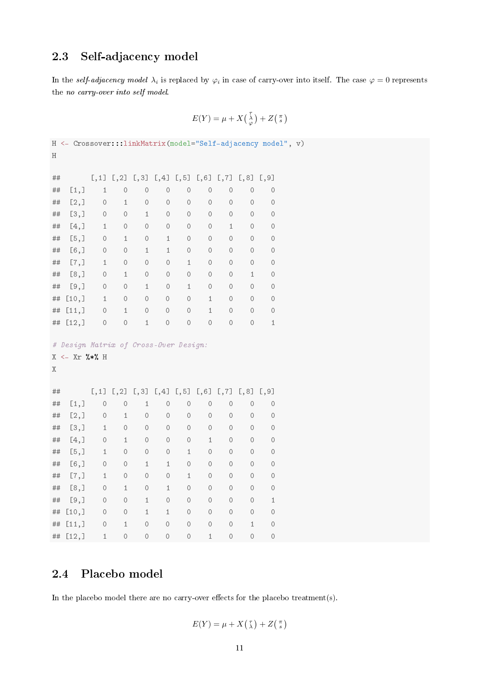## <span id="page-11-2"></span><span id="page-11-0"></span>2.3 Self-adjacency model

In the self-adjacency model  $\lambda_i$  is replaced by  $\varphi_i$  in case of carry-over into itself. The case  $\varphi = 0$  represents the no carry-over into self model.

$$
E(Y) = \mu + X\left(\begin{smallmatrix} \tau \\ \lambda \\ \varphi \end{smallmatrix}\right) + Z\left(\begin{smallmatrix} \pi \\ s \end{smallmatrix}\right)
$$

## <span id="page-11-1"></span>2.4 Placebo model

In the placebo model there are no carry-over effects for the placebo treatment(s).

$$
E(Y) = \mu + X(\tfrac{\tau}{\lambda}) + Z(\tfrac{\pi}{s})
$$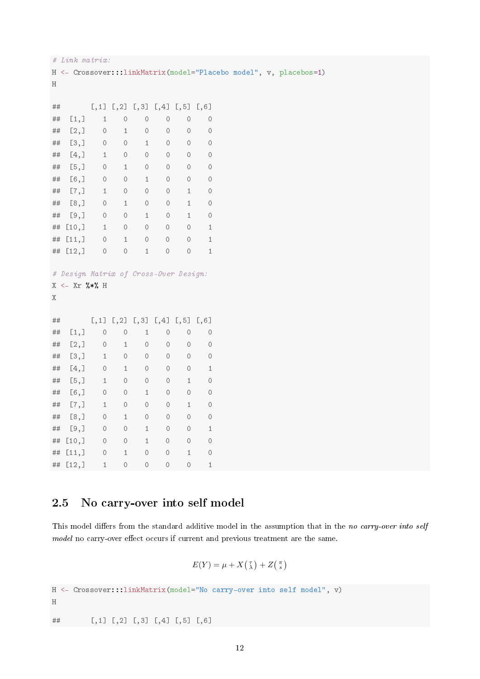```
# Link matrix:
H <- Crossover:::linkMatrix(model="Placebo model", v, placebos=1)
H
## [,1] [,2] [,3] [,4] [,5] [,6]
## [1,] 1 0 0 0 0 0
## [2,] 0 1 0 0 0 0
## [3,] 0 0 1 0 0 0
## [4,] 1 0 0 0 0 0
## [5,] 0 1 0 0 0 0
## [6,] 0 0 1 0 0 0
## [7,] 1 0 0 0 1 0
## [8,] 0 1 0 0 1 0
## [9,] 0 0 1 0 1 0
## [10,] 1 0 0 0 0 1
## [11,] 0 1 0 0 0 1
## [12,] 0 0 1 0 0 1
# Design Matrix of Cross-Over Design:
X <- Xr %*% H
X
## [,1] [,2] [,3] [,4] [,5] [,6]
## [1,] 0 0 1 0 0 0
## [2,] 0 1 0 0 0 0
## [3,] 1 0 0 0 0 0
## [4,] 0 1 0 0 0 1
## [5,] 1 0 0 0 1 0
## [6,] 0 0 1 0 0 0
## [7,] 1 0 0 0 1 0
## [8,] 0 1 0 0 0 0
## [9,] 0 0 1 0 0 1
## [10,] 0 0 1 0 0 0
## [11,] 0 1 0 0 1 0
## [12,] 1 0 0 0 0 1
```
## <span id="page-12-0"></span>2.5 No carry-over into self model

This model differs from the standard additive model in the assumption that in the no carry-over into self model no carry-over effect occurs if current and previous treatment are the same.

$$
E(Y) = \mu + X(\tfrac{\tau}{\lambda}) + Z(\tfrac{\pi}{s})
$$

H <- Crossover:::linkMatrix(model="No carry-over into self model", v)

H

## [,1] [,2] [,3] [,4] [,5] [,6]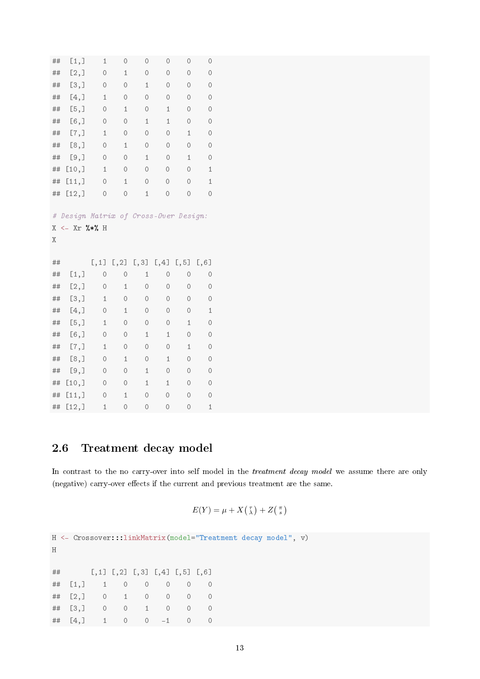<span id="page-13-1"></span>

| ##     | [1,]                                | $\mathbf 1$  | 0                        | 0            | 0            | $\circ$      | 0           |  |
|--------|-------------------------------------|--------------|--------------------------|--------------|--------------|--------------|-------------|--|
| ##     | [2,]                                | 0            | $\mathbf 1$              | $\circ$      | $\circ$      | $\circ$      | 0           |  |
| ##     | [3,]                                | 0            | 0                        | $\mathbf 1$  | 0            | 0            | 0           |  |
| ##     | [4,]                                | $\mathbf{1}$ | 0                        | $\circ$      | $\circ$      | $\circ$      | 0           |  |
| ##     | [5,]                                | 0            | $\mathbf 1$              | $\circ$      | $\mathbf 1$  | $\circ$      | 0           |  |
| ##     | [6,]                                | 0            | $\circ$                  | $1\,$        | $\mathbf 1$  | $\circ$      | $\circ$     |  |
| ##     | [7,]                                | $\mathbf 1$  | 0                        | $\circ$      | $\circ$      | $\mathbf 1$  | 0           |  |
| ##     | [8,]                                | 0            | $\,1\,$                  | $\circ$      | $\circ$      | $\circ$      | $\circ$     |  |
| ##     | [9,]                                | 0            | 0                        | $\mathbf{1}$ | 0            | $\mathbf{1}$ | 0           |  |
| ##     | [10,]                               | $\mathbf{1}$ | 0                        | $\circ$      | $\circ$      | $\circ$      | $\mathbf 1$ |  |
| ##     | [11,]                               | 0            | $\mathbf 1$              | $\circ$      | $\circ$      | $\circ$      | $\mathbf 1$ |  |
| ##     | [12,]                               | $\circ$      | 0                        | $\mathbf 1$  | $\circ$      | $\circ$      | 0           |  |
| #      | Design Matrix of Cross-Over Design: |              |                          |              |              |              |             |  |
| Χ<br>Χ | $\leftarrow$ Xr %*%                 | H            |                          |              |              |              |             |  |
| ##     |                                     | [,1]         | $\left[\right.,2\right]$ | [, 3]        | [,4]         | [, 5]        | [, 6]       |  |
| ##     | [1,]                                | 0            | 0                        | $\mathbf 1$  | $\circ$      | $\circ$      | $\circ$     |  |
| ##     | [2,]                                | 0            | $\mathbf 1$              | 0            | 0            | $\circ$      | 0           |  |
| ##     | [3,]                                | $\mathbf{1}$ | 0                        | $\circ$      | 0            | $\circ$      | 0           |  |
| ##     | [4,]                                | 0            | $\mathbf{1}$             | $\circ$      | $\circ$      | $\circ$      | $\mathbf 1$ |  |
| ##     | $[5,$ ]                             | $\mathbf 1$  | $\bigcirc$               | $\circ$      | $\bigcirc$   | $\mathbf 1$  | $\circ$     |  |
| ##     | $[6,$ ]                             | 0            | 0                        | $\mathbf 1$  | $\mathbf{1}$ | $\circ$      | $\circ$     |  |
| ##     | [7,]                                | $\mathbf 1$  | 0                        | $\bigcirc$   | 0            | $\mathbf 1$  | $\circ$     |  |
| ##     | [8,]                                | 0            | $\mathbf 1$              | $\circ$      | $\mathbf 1$  | $\circ$      | $\circ$     |  |
| ##     | [9,]                                | 0            | 0                        | $\mathbf{1}$ | 0            | 0            | 0           |  |
| ##     | [10,]                               | 0            | 0                        | $\mathbf 1$  | $\mathbf 1$  | $\circ$      | 0           |  |
| ##     | [11,]<br>[12,]                      | 0            | $\mathbf 1$              | 0            | 0            | $\circ$      | $\circ$     |  |

## <span id="page-13-0"></span>2.6 Treatment decay model

In contrast to the no carry-over into self model in the *treatment decay model* we assume there are only (negative) carry-over effects if the current and previous treatment are the same.

$$
E(Y) = \mu + X(\tfrac{\tau}{\lambda}) + Z(\tfrac{\pi}{s})
$$

```
H <- Crossover:::linkMatrix(model="Treatment decay model", v)
H
## [,1] [,2] [,3] [,4] [,5] [,6]
## [1,] 1 0 0 0 0 0
## [2,] 0 1 0 0 0 0
## [3,] 0 0 1 0 0 0
## [4,] 1 0 0 -1 0 0
```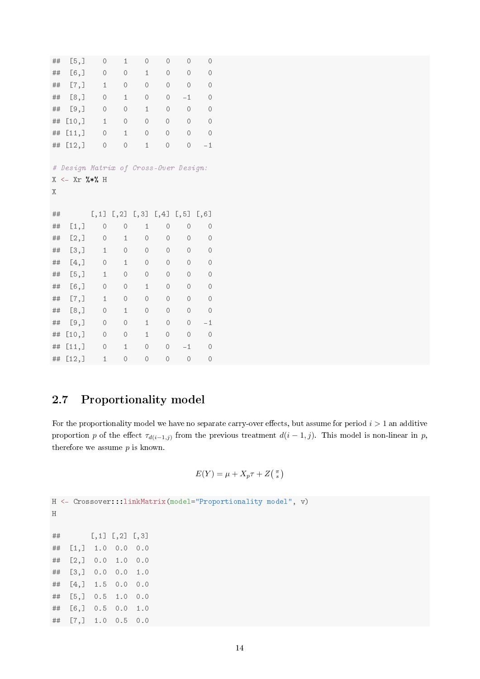<span id="page-14-1"></span>

| ##          | [5,]                                                       | 0              | $\mathbf{1}$             | 0                  | 0              | 0              | 0       |
|-------------|------------------------------------------------------------|----------------|--------------------------|--------------------|----------------|----------------|---------|
| ##          | [6,]                                                       | 0              | 0                        | $\mathbf{1}$       | 0              | $\circ$        | $\circ$ |
| ##          | [7,]                                                       | $\mathbf 1$    | 0                        | 0                  | $\circ$        | $\mathcal{O}$  | $\circ$ |
| ##          | [8,]                                                       | $\circ$        | $\mathbf{1}$             | $\overline{O}$     | $\circ$        | $-1$           | $\circ$ |
| ##          | [9,]                                                       | 0              | 0                        | $\mathbf{1}$       | 0              | $\circ$        | 0       |
| ##          | [10,                                                       | $\mathbf{1}$   | $\circ$                  | $\overline{O}$     | $\overline{O}$ | $\overline{O}$ | $\circ$ |
| ##          | [11,]                                                      | $\overline{O}$ | $\mathbf 1$              | $\overline{O}$     | $\overline{O}$ | $\overline{O}$ | $\circ$ |
| ##          | [12,]                                                      | 0              | $\circ$                  | $\mathbf 1$        | 0              | 0              | $-1$    |
| #<br>Χ<br>Χ | Design Matrix of Cross-Over Design:<br>$\leftarrow$ Xr %*% | H              |                          |                    |                |                |         |
|             |                                                            |                |                          |                    |                |                |         |
| ##          |                                                            | [,1]           | $\left[\right.,2\right]$ | $\left[ ,3\right]$ | [,4]           | [, 5]          | [, 6]   |
| ##          | [1,]                                                       | 0              | $\circ$                  | $\mathbf{1}$       | $\circ$        | $\circ$        | 0       |
| ##          | [2,]                                                       | 0              | $\mathbf 1$              | 0                  | $\circ$        | 0              | $\circ$ |
| ##          | [3,]                                                       | 1              | 0                        | $\circ$            | 0              | 0              | 0       |
| ##          | [4,]                                                       | 0              | 1                        | $\circ$            | 0              | 0              | 0       |
| ##          | [5,]                                                       | 1              | 0                        | 0                  | $\circ$        | 0              | 0       |
| ##          | $[6,$ ]                                                    | 0              | $\circ$                  | $\mathbf{1}$       | $\circ$        | 0              | 0       |
| ##          | [7,]                                                       | 1              | $\circ$                  | 0                  | 0              | 0              | 0       |
| ##          | [8,]                                                       | 0              | 1                        | 0                  | 0              | 0              | 0       |
| ##          | [9,]                                                       | 0              | 0                        | $\mathbf{1}$       | 0              | 0              | $-1$    |
| ##          | [10,]                                                      | 0              | 0                        | $\mathbf{1}$       | 0              | 0              | 0       |
| ##          | [11,                                                       | 0              | 1                        | 0                  | 0              | $-1$           | 0       |

## <span id="page-14-0"></span>2.7 Proportionality model

For the proportionality model we have no separate carry-over effects, but assume for period  $i > 1$  an additive proportion p of the effect  $\tau_{d(i-1,j)}$  from the previous treatment  $d(i-1,j)$ . This model is non-linear in p, therefore we assume  $p$  is known.

$$
E(Y) = \mu + X_p \tau + Z\left(\begin{matrix} \pi \\ s \end{matrix}\right)
$$

```
H <- Crossover:::linkMatrix(model="Proportionality model", v)
```

```
H
```
 $\#$  [,1] [,2] [,3] ## [1,] 1.0 0.0 0.0 ## [2,] 0.0 1.0 0.0 ## [3,] 0.0 0.0 1.0 ## [4,] 1.5 0.0 0.0 ## [5,] 0.5 1.0 0.0 ## [6,] 0.5 0.0 1.0 ## [7,] 1.0 0.5 0.0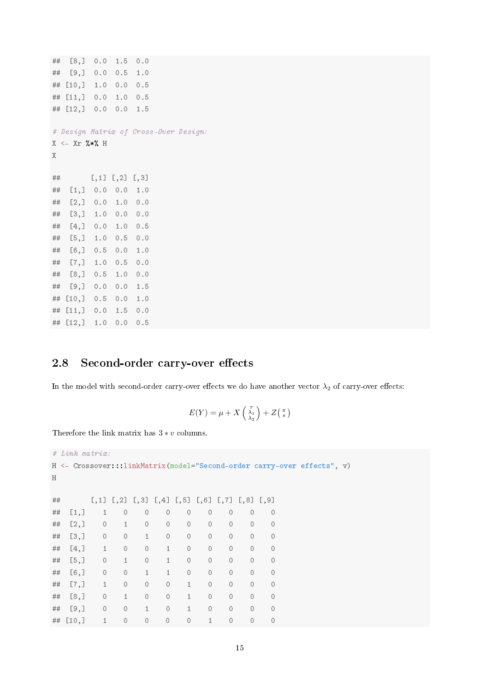```
## [8,] 0.0 1.5 0.0
## [9,] 0.0 0.5 1.0
## [10,] 1.0 0.0 0.5
## [11,] 0.0 1.0 0.5
## [12,] 0.0 0.0 1.5
# Design Matrix of Cross-Over Design:
X \leftarrow Xr %*% H
X
\# [,1] [,2] [,3]
## [1,] 0.0 0.0 1.0
## [2,] 0.0 1.0 0.0
## [3,] 1.0 0.0 0.0
## [4,] 0.0 1.0 0.5
## [5,] 1.0 0.5 0.0
## [6,] 0.5 0.0 1.0
## [7,] 1.0 0.5 0.0
## [8,] 0.5 1.0 0.0
## [9,] 0.0 0.0 1.5
## [10,] 0.5 0.0 1.0
## [11,] 0.0 1.5 0.0
## [12,] 1.0 0.0 0.5
```
## <span id="page-15-0"></span>2.8 Second-order carry-over effects

In the model with second-order carry-over effects we do have another vector  $\lambda_2$  of carry-over effects:

$$
E(Y) = \mu + X \begin{pmatrix} \tau \\ \lambda_1 \\ \lambda_2 \end{pmatrix} + Z \begin{pmatrix} \pi \\ s \end{pmatrix}
$$

Therefore the link matrix has  $3 * v$  columns.

|    | $#$ Link matrix: |              |                                                                |               |                |              |              |          |         |                                                                         |  |  |
|----|------------------|--------------|----------------------------------------------------------------|---------------|----------------|--------------|--------------|----------|---------|-------------------------------------------------------------------------|--|--|
|    |                  |              |                                                                |               |                |              |              |          |         | H <- Crossover:::linkMatrix(model="Second-order carry-over effects", v) |  |  |
| H  |                  |              |                                                                |               |                |              |              |          |         |                                                                         |  |  |
|    |                  |              |                                                                |               |                |              |              |          |         |                                                                         |  |  |
| ## |                  |              | $[,1]$ $[,2]$ $[,3]$ $[,4]$ $[,5]$ $[,6]$ $[,7]$ $[,8]$ $[,9]$ |               |                |              |              |          |         |                                                                         |  |  |
| ## | [1,]             | $\mathbf{1}$ | $\circ$                                                        | $\circ$       | $\circ$        | $\circ$      | $\circ$      | $\circ$  | $\circ$ | $\Omega$                                                                |  |  |
| ## | [2,]             | $\circ$      | $\mathbf{1}$                                                   | $\circ$       | $\mathcal{O}$  | $\circ$      | $\circ$      | $\circ$  | $\circ$ | $\mathcal{O}$                                                           |  |  |
| ## | [3,]             | $\circ$      | $\circ$                                                        | $\mathbf{1}$  | $\mathcal{O}$  | $\circ$      | $\circ$      | $\circ$  | $\circ$ | $\mathcal{O}$                                                           |  |  |
| ## | [4,]             | $1\,$        | $\circ$                                                        | $\circ$       | $\mathbf{1}$   | $\circ$      | $\circ$      | $\circ$  | $\circ$ | $\mathcal{O}$                                                           |  |  |
| ## | [5,]             | $\circ$      | $\mathbf{1}$                                                   | $\circ$       | $\mathbf{1}$   | $\circ$      | $\circ$      | $\circ$  | $\circ$ | $\Omega$                                                                |  |  |
| ## | $[6,$ ]          | $\circ$      | $\circ$                                                        | $\mathbf{1}$  | $\mathbf{1}$   | $\circ$      | $\circ$      | $\circ$  | $\circ$ | $\mathcal{O}$                                                           |  |  |
| ## | [7,]             | $\mathbf{1}$ | $\circ$                                                        | $\circ$       | $\overline{O}$ | $\mathbf{1}$ | $\Omega$     | $\circ$  | $\circ$ | $\Omega$                                                                |  |  |
| ## | [8,]             | $\circ$      | $\mathbf{1}$                                                   | $\circ$       | $\mathcal{O}$  | $\mathbf{1}$ | $\circ$      | $\circ$  | $\circ$ | $\mathcal{O}$                                                           |  |  |
| ## | [9,]             | $\circ$      | $\circ$                                                        | $\mathbf{1}$  | $\overline{O}$ | $\mathbf{1}$ | $\circ$      | $\circ$  | $\circ$ | $\Omega$                                                                |  |  |
| ## | [10,             | $\mathbf{1}$ | $\circ$                                                        | $\mathcal{O}$ | $\mathcal{O}$  | $\circ$      | $\mathbf{1}$ | $\Omega$ | $\circ$ | $\Omega$                                                                |  |  |
|    |                  |              |                                                                |               |                |              |              |          |         |                                                                         |  |  |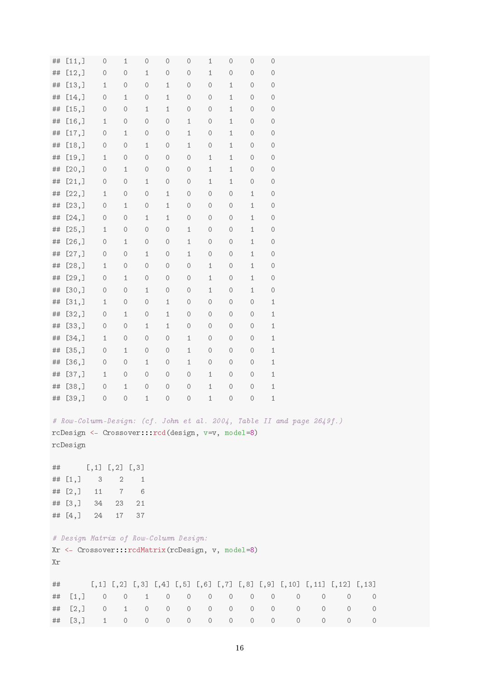| ##      | [11,]      | $\circ$                                                                                        | $\,1\,$        | $\cal O$     | 0            | $\cal O$ | $\,1\,$        | $\bigcirc$     | $\cal O$     | $\cal O$   |         |         |         |         |  |
|---------|------------|------------------------------------------------------------------------------------------------|----------------|--------------|--------------|----------|----------------|----------------|--------------|------------|---------|---------|---------|---------|--|
| ##      | [12,]      | $\circ$                                                                                        | $\cal O$       | $\,1\,$      | $\bigcirc$   | $\cal O$ | $1\,$          | $\bigcirc$     | $\cal O$     | 0          |         |         |         |         |  |
| ##      | [13,       | $\mathbf{1}$                                                                                   | $\cal O$       | $\cal O$     | $\,1\,$      | $\rm{O}$ | $\rm{O}$       | $\,1\,$        | $\cal O$     | $\bigcirc$ |         |         |         |         |  |
| ##      | [14,]      | $\circ$                                                                                        | $\,1\,$        | $\circ$      | $1\,$        | $\cal O$ | $\cal O$       | $1\,$          | $\cal O$     | $\bigcirc$ |         |         |         |         |  |
| ##      | [15,]      | $\circ$                                                                                        | $\cal O$       | $\,1\,$      | $\,1\,$      | $\cal O$ | $\bigcirc$     | $\,1\,$        | $\cal O$     | $\bigcirc$ |         |         |         |         |  |
| ##      | [16,       | $\mathbf{1}$                                                                                   | $\cal O$       | $\cal O$     | $\circ$      | $1\,$    | $\bigcirc$     | $1\,$          | $\cal O$     | $\bigcirc$ |         |         |         |         |  |
| ##      | [17,]      | $\circ$                                                                                        | $\,1\,$        | $\cal O$     | $\bigcirc$   | $\,1\,$  | $\bigcirc$     | $1\,$          | $\cal O$     | $\bigcirc$ |         |         |         |         |  |
| ##      | [18,]      | $\circ$                                                                                        | $\cal O$       | $1\,$        | $\circ$      | $\,1\,$  | $\circ$        | $\mathbf{1}$   | $\cal O$     | $\bigcirc$ |         |         |         |         |  |
| ##      | [19,       | $\mathbf{1}$                                                                                   | $\cal O$       | $\cal O$     | $\rm{O}$     | $\cal O$ | $\,1\,$        | $\,1\,$        | $\cal O$     | $\bigcirc$ |         |         |         |         |  |
| ##      | [20,]      | $\circ$                                                                                        | $\,1\,$        | $\cal O$     | $\bigcirc$   | $\cal O$ | $1\,$          | $1\,$          | $\cal O$     | $\bigcirc$ |         |         |         |         |  |
|         | [21,]      |                                                                                                | $\cal O$       | $\,1\,$      | $\cal O$     | $\cal O$ |                | $\,1\,$        | $\cal O$     |            |         |         |         |         |  |
| ##      |            | $\circ$                                                                                        |                |              |              |          | $1\,$          |                |              | $\bigcirc$ |         |         |         |         |  |
| ##      | [22,]      | $\mathbf{1}$                                                                                   | $\circ$        | $\cal O$     | $1\,$        | $\cal O$ | $\circ$        | $\circ$        | $\mathbf{1}$ | $\circ$    |         |         |         |         |  |
| ##      | [23,]      | $\circ$                                                                                        | $\mathbf{1}$   | $\cal O$     | $\,1\,$      | $\cal O$ | $\circ$        | $\bigcirc$     | $\mathbf{1}$ | $\bigcirc$ |         |         |         |         |  |
| ##      | [24,]      | $\circ$                                                                                        | $\cal O$       | $\mathbf{1}$ | $\mathbf{1}$ | $\cal O$ | $\bigcirc$     | $\bigcirc$     | $\mathbf{1}$ | $\bigcirc$ |         |         |         |         |  |
| ##      | [25,]      | $\mathbf{1}$                                                                                   | $\cal O$       | $\cal O$     | $\bigcirc$   | $\,1\,$  | $\cal O$       | $\bigcirc$     | $\,1\,$      | 0          |         |         |         |         |  |
| ##      | [26,]      | $\circ$                                                                                        | $\mathbf{1}$   | $\circ$      | $\circ$      | $1\,$    | $\cal O$       | $\circ$        | $\mathbf{1}$ | 0          |         |         |         |         |  |
| ##      | [27,]      | $\cal O$                                                                                       | $\cal O$       | $1\,$        | $\bigcirc$   | $\,1\,$  | $\bigcirc$     | $\bigcirc$     | $\mathbf 1$  | $\bigcirc$ |         |         |         |         |  |
| ##      | [28,]      | $\mathbf{1}$                                                                                   | $\cal O$       | $\cal O$     | $\circ$      | $\cal O$ | $1\,$          | $\bigcirc$     | $\mathbf{1}$ | $\bigcirc$ |         |         |         |         |  |
| ##      | [29,]      | $\circ$                                                                                        | $\,1\,$        | $\cal O$     | $\bigcirc$   | $\cal O$ | $1\,$          | $\bigcirc$     | $\,1\,$      | 0          |         |         |         |         |  |
| ##      | [30,       | $\circ$                                                                                        | $\circ$        | $\,1\,$      | $\bigcirc$   | $\cal O$ | $1\,$          | $\circ$        | $\mathbf{1}$ | $\bigcirc$ |         |         |         |         |  |
| $\# \#$ | [31,]      | $\mathbf{1}$                                                                                   | $\cal O$       | $\cal O$     | $1\,$        | $\cal O$ | $\cal O$       | $\circ$        | $\cal O$     | $\,1\,$    |         |         |         |         |  |
| ##      | [32,]      | $\circ$                                                                                        | $\,1\,$        | $\cal O$     | $1\,$        | $\cal O$ | $\cal O$       | $\bigcirc$     | $\cal O$     | $\,1\,$    |         |         |         |         |  |
| ##      | [33,]      | $\circ$                                                                                        | $\cal O$       | $\,1\,$      | $1\,$        | $\cal O$ | $\cal O$       | $\bigcirc$     | $\cal O$     | $\,1\,$    |         |         |         |         |  |
| ##      | [34,]      | $\mathbf{1}$                                                                                   | $\circ$        | $\cal O$     | $\circ$      | $\,1\,$  | $\circ$        | $\circ$        | $\circ$      | $\,1\,$    |         |         |         |         |  |
| ##      | [35,]      | $\circ$                                                                                        | $1\,$          | $\cal O$     | 0            | $\,1\,$  | $\bigcirc$     | $\circ$        | $\cal O$     | $\,1\,$    |         |         |         |         |  |
| ##      | [36,]      | $\circ$                                                                                        | $\circ$        | $\mathbf{1}$ | $\circ$      | $1\,$    | $\bigcirc$     | $\bigcirc$     | $\cal O$     | $\,1\,$    |         |         |         |         |  |
| ##      | [37,]      | $\mathbf{1}$                                                                                   | $\cal O$       | $\cal O$     | $\circ$      | $\cal O$ | $\,1\,$        | $\bigcirc$     | $\cal O$     | $\,1\,$    |         |         |         |         |  |
| ##      | [38,]      | $\circ$                                                                                        | $1\,$          | $\cal O$     | $\circ$      | $\cal O$ | $1\,$          | 0              | $\bigcirc$   | $\,1\,$    |         |         |         |         |  |
| $\# \#$ | [39,]      | $\circ$                                                                                        | $\circ$        | $\,1\,$      | $\bigcirc$   | $\cal O$ | $1\,$          | $\bigcirc$     | $\cal O$     | $\,1\,$    |         |         |         |         |  |
|         |            | # Row-Column-Design: (cf. John et al. 2004, Table II and page 2649f.)                          |                |              |              |          |                |                |              |            |         |         |         |         |  |
|         |            | rcDesign <- Crossover:::rcd(design, v=v, model=8)                                              |                |              |              |          |                |                |              |            |         |         |         |         |  |
|         | rcDesign   |                                                                                                |                |              |              |          |                |                |              |            |         |         |         |         |  |
|         |            |                                                                                                |                |              |              |          |                |                |              |            |         |         |         |         |  |
| ##      |            | $[,1]$ $[,2]$ $[,3]$                                                                           |                |              |              |          |                |                |              |            |         |         |         |         |  |
|         | ## $[1,]$  | $\sqrt{3}$                                                                                     | $\sqrt{2}$     | 1            |              |          |                |                |              |            |         |         |         |         |  |
|         | ## $[2,]$  | 11                                                                                             | $\overline{7}$ | $\,6\,$      |              |          |                |                |              |            |         |         |         |         |  |
|         | ## $[3, ]$ | 34                                                                                             | 23             | 21           |              |          |                |                |              |            |         |         |         |         |  |
|         |            |                                                                                                |                |              |              |          |                |                |              |            |         |         |         |         |  |
|         | ## $[4,]$  | 24                                                                                             | 17             | 37           |              |          |                |                |              |            |         |         |         |         |  |
|         |            | # Design Matrix of Row-Column Design:                                                          |                |              |              |          |                |                |              |            |         |         |         |         |  |
|         |            |                                                                                                |                |              |              |          |                |                |              |            |         |         |         |         |  |
|         |            | Xr <- Crossover:::rcdMatrix(rcDesign, v, model=8)                                              |                |              |              |          |                |                |              |            |         |         |         |         |  |
| Χr      |            |                                                                                                |                |              |              |          |                |                |              |            |         |         |         |         |  |
|         |            |                                                                                                |                |              |              |          |                |                |              |            |         |         |         |         |  |
| ##      |            | $[,1]$ $[,2]$ $[,3]$ $[,4]$ $[,5]$ $[,6]$ $[,7]$ $[,8]$ $[,9]$ $[,10]$ $[,11]$ $[,12]$ $[,13]$ |                |              |              |          |                |                |              |            |         |         |         |         |  |
| ##      | [1,]       | $\cal O$                                                                                       | $\circ$        | $\mathbf{1}$ | $\circ$      | $\cal O$ | $\circledcirc$ | $\circledcirc$ | $\circ$      | $\circ$    | $\circ$ | 0       | $\circ$ | 0       |  |
| ##      | [2,]       | $\circ$                                                                                        | $\mathbf{1}$   | $\circ$      | $\circ$      | $\circ$  | $\circ$        | $\circ$        | $\circ$      | $\cal O$   | $\circ$ | $\circ$ | $\circ$ | 0       |  |
| ##      | [3,]       | $\mathbf{1}$                                                                                   | $\circ$        | $\circ$      | $\circ$      | $\circ$  | $\circ$        | $\circ$        | $\cal O$     | $\circ$    | $\circ$ | $\circ$ | $\circ$ | $\circ$ |  |
|         |            |                                                                                                |                |              |              |          |                |                |              |            |         |         |         |         |  |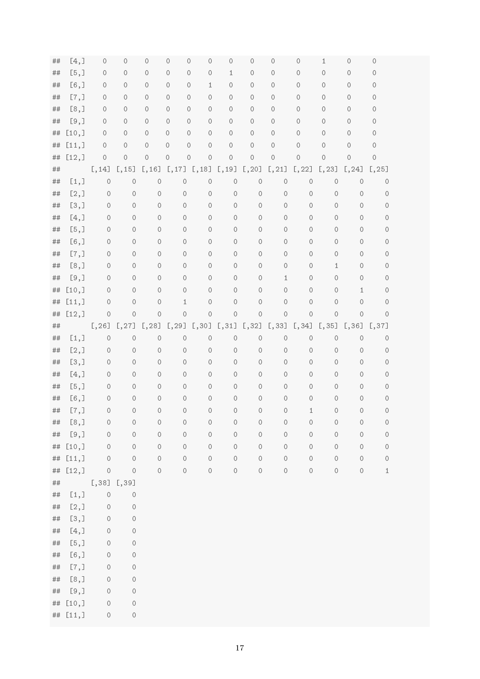| ##       | [4,]         | 0               | 0                  | 0                            | $\circ$                    | 0<br>$\circ$             | 0                  | $\circ$            | 0                       | 0                  | 1                  | 0                  | 0                  |  |
|----------|--------------|-----------------|--------------------|------------------------------|----------------------------|--------------------------|--------------------|--------------------|-------------------------|--------------------|--------------------|--------------------|--------------------|--|
| ##       | [5,]         | 0               | $\circ$            | 0                            | $\bigcirc$                 | $\circ$<br>$\circ$       | $1\,$              | $\circ$            | $\circ$                 | 0                  | $\cal O$           | $\circ$            | 0                  |  |
| ##       | $[6,$ ]      | $\circ$         | $\circ$            | 0                            | $\circ$                    | $1\,$<br>0               | 0                  | $\circ$            | 0                       | 0                  | 0                  | 0                  | 0                  |  |
| ##       | [7,]         | $\mathcal O$    | $\circ$            | 0                            | $\circ$                    | $\bigcirc$<br>$\cal O$   | $\circ$            | $\circ$            | 0                       | 0                  | $\mathcal O$       | 0                  | 0                  |  |
| ##       | [8,]         | 0               | $\circ$            | 0                            | $\circ$                    | $\circ$<br>0             | $\circ$            | $\circ$            | 0                       | $\circ$            | $\mathcal O$       | 0                  | 0                  |  |
| ##       | [9,]         | $\circ$         | $\circ$            | $\circ$                      | $\circ$                    | $\circ$<br>$\circ$       | $\circ$            | $\circ$            | 0                       | 0                  | $\mathcal O$       | 0                  | 0                  |  |
| ##       | [10,         | $\circ$         | $\circ$            | 0                            | $\circ$                    | $\circ$<br>$\circ$       | 0                  | $\circ$            | 0                       | 0                  | $\mathcal O$       | 0                  | 0                  |  |
| ##       | [11,]        | $\circ$         | $\circ$            | $\cal O$                     | $\bigcirc$                 | $\bigcirc$<br>$\bigcirc$ | $\circ$            | $\cal O$           | $\bigcirc$              | $\circ$            | $\cal O$           | 0                  | $\mathcal O$       |  |
| ##       | [12,]        | $\mathcal O$    | $\circ$            | $\cal O$                     | $\bigcirc$                 | $\circ$<br>$\circ$       | $\circ$            | $\cal O$           | $\mathcal O$            | $\circ$            | $\mathcal O$       | $\circ$            | $\circ$            |  |
| ##       |              | [,14]           | [,15]              |                              | $[, 16]$ $[, 17]$ $[, 18]$ |                          | [, 19]             | [, 20]             | [, 21]                  | [, 22]             | [, 23]             | [, 24]             | [, 25]             |  |
| ##       | [1,]         | $\circ$         | $\circ$            | $\bigcirc$                   | $\circ$                    | $\circ$                  | $\circ$            | $\circ$            | $\bigcirc$              | $\circ$            | $\bigcirc$         | $\bigcirc$         | $\circ$            |  |
| ##       | [2,]         | 0               | $\bigcirc$         | $\cal O$                     | $\cal O$                   | $\circ$                  | $\bigcirc$         | 0                  | $\circ$                 | $\circ$            | $\mathcal O$       | $\circ$            | $\circ$            |  |
| ##       | [3,]         | 0               | $\circ$            | $\mathcal O$                 | $\circ$                    | $\mathcal O$             | $\circ$            | $\circ$            | $\circ$                 | $\circ$            | $\circ$            | $\circ$            | $\circ$            |  |
| ##       | [4,]         | 0               | $\circ$            | $\mathcal O$                 | $\circ$                    | $\mathcal O$             | $\circ$            | $\mathcal O$       | $\mathcal O$            | $\circ$            | $\mathcal O$       | $\circ$            | $\circ$            |  |
| ##       | [5,]         | 0               | $\circ$            | $\mathcal O$                 | $\circ$                    | $\cal O$                 | $\circ$            | $\mathcal O$       | $\circ$                 | $\circ$            | $\circ$            | $\circ$            | $\circ$            |  |
| ##       | $[6,$ ]      | $\circ$         | $\cal O$           | $\mathcal O$                 | $\cal O$                   | $\circ$                  | $\circ$            | $\circ$            | $\mathcal O$            | $\circ$            | $\circ$            | $\circ$            | $\circ$            |  |
| ##       | [7,]         | 0               | $\circ$            | $\mathcal O$                 | $\circ$                    | $\mathcal O$             | $\circ$            | $\circ$            | $\circ$                 | $\circ$            | $\circ$            | $\circ$            | $\circ$            |  |
| ##       | [8,]         | 0               | $\cal O$           | $\mathcal O$                 | $\bigcirc$                 | $\mathcal O$             | $\circ$            | $\mathsf O$        | $\circ$                 | $\circ$            | $\mathbf{1}$       | $\circ$            | $\circ$            |  |
| ##       | [9,]         | 0               | $\circ$            | 0                            | $\cal O$                   | $\cal O$                 | $\circ$            | $\mathsf O$        | $1\,$                   | $\circ$            | $\circ$            | $\circ$            | 0                  |  |
| ##       | [10,         | 0               | $\circ$            | $\mathcal O$                 | $\circ$                    | $\circ$                  | $\circ$            | $\mathcal O$       | $\mathcal O$            | $\circ$            | $\mathcal O$       | 1                  | 0                  |  |
| ##       | [11,]        | $\circ$         | $\circ$            | $\cal O$                     | $\mathbf{1}$               | $\cal O$                 | $\bigcirc$         | $\mathcal O$       | $\bigcirc$              | $\circ$            | $\circ$            | $\circ$            | $\circ$            |  |
| ##       | [12,]        | $\circ$         | $\cal O$           | $\cal O$                     | $\cal O$                   | $\bigcirc$               | $\cal O$           | $\cal O$           | $\circ$                 | $\cal O$           | $\cal O$           | $\cal O$           | $\circ$            |  |
| ##       |              | [, 26]          | [, 27]             | [, 28]                       | [, 29]                     | [, 30]                   | [, 31]             | [, 32]             | [, 33]                  | [, 34]             | [, 35]             | [, 36]             | [, 37]             |  |
| ##       | [1,]         | $\circ$         | $\circ$            | $\bigcirc$                   | $\circ$                    | $\circ$                  | $\circ$            | $\circ$            | $\bigcirc$              | $\cal O$           | $\bigcirc$         | $\bigcirc$         | $\circ$            |  |
| ##       | [2,]         | 0               | $\circ$            | $\mathcal O$                 | $\circ$                    | $\circ$                  | $\bigcirc$         | $\circ$            | $\circ$                 | $\circ$            | $\circ$            | $\circ$            | $\circ$            |  |
| ##       | [3,]         | 0               | $\circ$<br>$\circ$ | $\mathcal O$                 | $\circ$                    | $\circ$<br>$\mathcal O$  | $\circ$<br>$\circ$ | $\mathcal O$       | $\circ$<br>$\mathcal O$ | $\circ$            | $\circ$            | $\circ$<br>$\circ$ | $\circ$            |  |
| ##<br>## | [4,]<br>[5,] | 0<br>0          | $\circ$            | $\mathcal O$<br>$\mathcal O$ | $\circ$                    | $\circ$                  | $\circ$            | $\circ$            | $\mathcal O$            | $\circ$<br>$\circ$ | $\circ$<br>$\circ$ | $\circ$            | $\circ$            |  |
| ##       | $[6,$ ]      | 0               | $\circ$            | $\mathcal O$                 | $\circ$<br>$\circ$         | $\cal O$                 | $\circ$            | $\circ$<br>$\circ$ | $\cal O$                | $\circ$            | $\circ$            | $\circ$            | $\circ$<br>$\circ$ |  |
| ##       | [7,]         | $\circ$         | $\mathcal O$       | $\cal O$                     | $\circ$                    | $\mathcal O$             | $\circ$            | $\cal O$           | $\bigcirc$              | 1                  | $\cal O$           | 0                  | $\mathcal O$       |  |
| ##       | [8,]         | 0               | $\cal O$           | $\cal O$                     | $\circ$                    | $\mathcal O$             | $\circ$            | $\mathcal O$       | $\bigcirc$              | $\circ$            | $\cal O$           | 0                  | $\circ$            |  |
| $\# \#$  | [9,]         | $\circ$         | $\cal O$           | $\cal O$                     | $\cal O$                   | $\cal O$                 | $\rm{O}$           | $\bigcirc$         | $\cal O$                | $\cal O$           | $\cal O$           | $\bigcirc$         | $\circ$            |  |
| $\# \#$  | [10,         | $\bigcirc$      | $\cal O$           | $\cal O$                     | $\circ$                    | $\cal O$                 | $\cal O$           | $\cal O$           | $\bigcirc$              | $\cal O$           | $\cal O$           | $\cal O$           | $\cal O$           |  |
| $\# \#$  | [11,]        | $\circ$         | $\bigcirc$         | $\cal O$                     | $\circ$                    | $\cal O$                 | $\cal O$           | $\cal O$           | $\cal O$                | $\cal O$           | $\cal O$           | $\cal O$           | $\cal O$           |  |
| ##       | [12,]        | $\circ$         | $\bigcirc$         | $\rm{O}$                     | $\cal O$                   | $\rm{O}$                 | $\cal O$           | $\cal O$           | $\bigcirc$              | $\cal O$           | $\cal O$           | $\cal O$           | $\,1\,$            |  |
| ##       |              | $[,38]$ $[,39]$ |                    |                              |                            |                          |                    |                    |                         |                    |                    |                    |                    |  |
| ##       | [1,]         | $\circ$         | $\cal O$           |                              |                            |                          |                    |                    |                         |                    |                    |                    |                    |  |
| $\# \#$  | [2,]         | $\bigcirc$      | $\cal O$           |                              |                            |                          |                    |                    |                         |                    |                    |                    |                    |  |
| $\# \#$  | [3,]         | $\bigcirc$      | $\cal O$           |                              |                            |                          |                    |                    |                         |                    |                    |                    |                    |  |
| $\# \#$  | [4,]         | $\bigcirc$      | $\cal O$           |                              |                            |                          |                    |                    |                         |                    |                    |                    |                    |  |
| $\# \#$  | [5,]         | $\bigcirc$      | $\cal O$           |                              |                            |                          |                    |                    |                         |                    |                    |                    |                    |  |
| $\# \#$  | $[6,$ ]      | $\bigcirc$      | $\bigcirc$         |                              |                            |                          |                    |                    |                         |                    |                    |                    |                    |  |
| $\# \#$  | [7,]         | $\bigcirc$      | $\bigcirc$         |                              |                            |                          |                    |                    |                         |                    |                    |                    |                    |  |
| $\# \#$  | [8,]         | $\bigcirc$      | $\cal O$           |                              |                            |                          |                    |                    |                         |                    |                    |                    |                    |  |
| $\# \#$  | [9,]         | $\bigcirc$      | $\circ$            |                              |                            |                          |                    |                    |                         |                    |                    |                    |                    |  |
| $\# \#$  | [10,         | $\circ$         | $\bigcirc$         |                              |                            |                          |                    |                    |                         |                    |                    |                    |                    |  |
|          | ## [11,]     | $\bigcirc$      | $\cal O$           |                              |                            |                          |                    |                    |                         |                    |                    |                    |                    |  |
|          |              |                 |                    |                              |                            |                          |                    |                    |                         |                    |                    |                    |                    |  |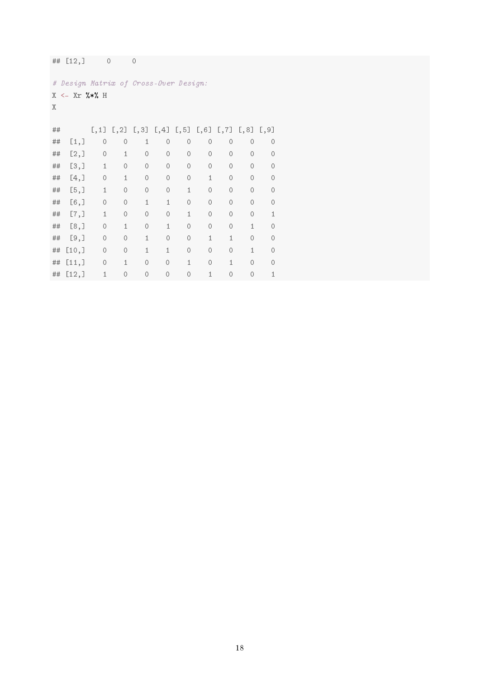|    | ## $[12,]$                            |              | $\circ$                                                        | $\circ$      |              |              |              |              |               |              |
|----|---------------------------------------|--------------|----------------------------------------------------------------|--------------|--------------|--------------|--------------|--------------|---------------|--------------|
|    | # Design Matrix of Cross-Over Design: |              |                                                                |              |              |              |              |              |               |              |
|    | $X \leftarrow Xr$ %*% H               |              |                                                                |              |              |              |              |              |               |              |
| X  |                                       |              |                                                                |              |              |              |              |              |               |              |
|    |                                       |              |                                                                |              |              |              |              |              |               |              |
| ## |                                       |              | $[,1]$ $[,2]$ $[,3]$ $[,4]$ $[,5]$ $[,6]$ $[,7]$ $[,8]$ $[,9]$ |              |              |              |              |              |               |              |
| ## | [1,]                                  | $\circ$      | $\circ$                                                        | $\mathbf{1}$ | $\circ$      | $\circ$      | $\circ$      | 0            | $\circ$       | $\circ$      |
| ## | [2,]                                  | $\circ$      | $\mathbf{1}$                                                   | $\circ$      | $\circ$      | $\circ$      | $\circ$      | $\circ$      | $\mathcal{O}$ | $\circ$      |
| ## | [3,]                                  | $\mathbf{1}$ | $\circ$                                                        | $\circ$      | $\circ$      | $\cal O$     | $\circ$      | $\circ$      | $\mathcal{O}$ | $\circ$      |
| ## | [4,]                                  | $\circ$      | $\mathbf{1}$                                                   | $\cal O$     | $\mathcal O$ | $\cal O$     | $\mathbf{1}$ | $\circ$      | $\circ$       | $\circ$      |
| ## | [5,]                                  | $\mathbf{1}$ | $\circ$                                                        | $\cal O$     | $\mathcal O$ | $\mathbf{1}$ | $\circ$      | $\circ$      | $\circ$       | $\bigcirc$   |
| ## | $[6,$ ]                               | $\circ$      | $\circ$                                                        | $\mathbf{1}$ | $\mathbf{1}$ | $\cal O$     | $\cal O$     | $\circ$      | $\cal O$      | $\circ$      |
| ## | [7,]                                  | $\mathbf{1}$ | $\circ$                                                        | $\circ$      | $\circ$      | $\mathbf{1}$ | $\circ$      | $\circ$      | $\circ$       | $1\,$        |
| ## | [8,]                                  | $\circ$      | $\mathbf{1}$                                                   | $\cal O$     | $\mathbf{1}$ | $\cal O$     | $\cal O$     | $\circ$      | $\mathbf{1}$  | $\circ$      |
| ## | [9,]                                  | $\circ$      | $\circ$                                                        | $\mathbf{1}$ | $\circ$      | $\cal O$     | $\mathbf{1}$ | $\mathbf{1}$ | $\circ$       | $\circ$      |
| ## | [10,                                  | $\circ$      | $\circ$                                                        | $\mathbf{1}$ | $\mathbf{1}$ | $\cal O$     | $\cal O$     | $\circ$      | $\mathbf{1}$  | $\circ$      |
| ## | [11,]                                 | $\circ$      | $\mathbf{1}$                                                   | $\circ$      | $\circ$      | $\mathbf{1}$ | $\circ$      | $\mathbf{1}$ | $\mathcal{O}$ | $\circ$      |
| ## | [12,]                                 | $\mathbf{1}$ | 0                                                              | $\cal O$     | $\circ$      | $\cal O$     | $\mathbf{1}$ | $\cal O$     | 0             | $\mathbf{1}$ |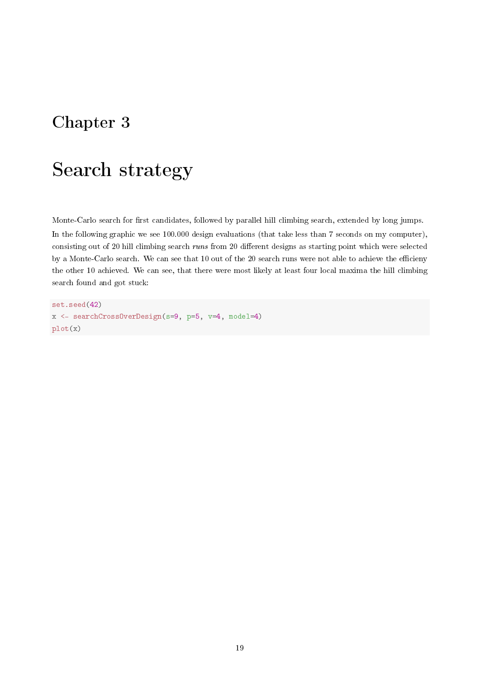## <span id="page-19-0"></span>Chapter 3

# Search strategy

Monte-Carlo search for first candidates, followed by parallel hill climbing search, extended by long jumps. In the following graphic we see 100.000 design evaluations (that take less than 7 seconds on my computer), consisting out of 20 hill climbing search runs from 20 different designs as starting point which were selected by a Monte-Carlo search. We can see that 10 out of the 20 search runs were not able to achieve the efficieny the other 10 achieved. We can see, that there were most likely at least four local maxima the hill climbing search found and got stuck:

set.seed(42) x <- searchCrossOverDesign(s=9, p=5, v=4, model=4) plot(x)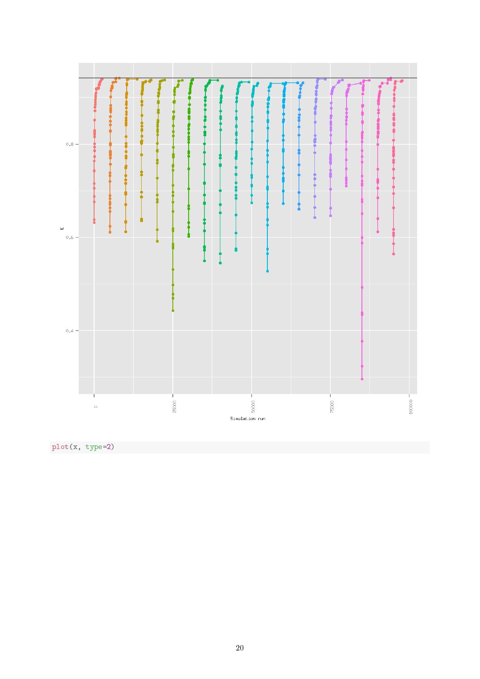

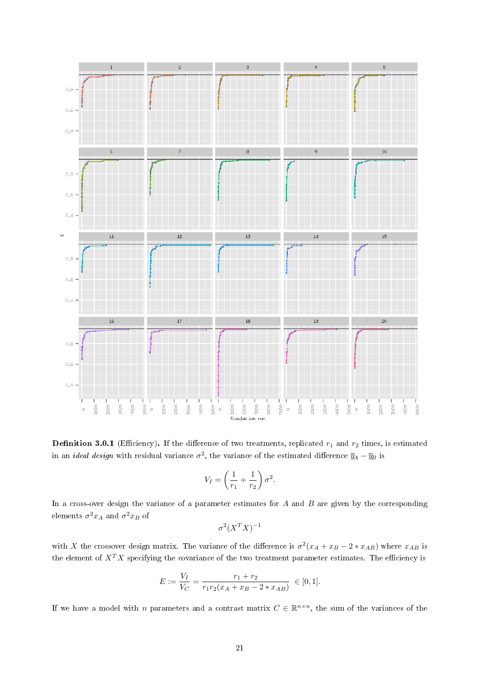<span id="page-21-0"></span>

**Definition 3.0.1** (Efficiency). If the difference of two treatments, replicated  $r_1$  and  $r_2$  times, is estimated in an *ideal design* with residual variance  $\sigma^2$ , the variance of the estimated difference  $\overline{y}_A - \overline{y}_B$  is

$$
V_I = \left(\frac{1}{r_1} + \frac{1}{r_2}\right)\sigma^2.
$$

In a cross-over design the variance of a parameter estimates for  $A$  and  $B$  are given by the corresponding elements  $\sigma^2 x_A$  and  $\sigma^2 x_B$  of

$$
\sigma^2 (X^T X)^{-1}
$$

with X the crossover design matrix. The variance of the difference is  $\sigma^2(x_A + x_B - 2*x_{AB})$  where  $x_{AB}$  is the element of  $X^T X$  specifying the covariance of the two treatment parameter estimates. The efficiency is

$$
E := \frac{V_I}{V_C} = \frac{r_1 + r_2}{r_1 r_2 (x_A + x_B - 2 * x_{AB})} \in [0, 1].
$$

If we have a model with n parameters and a contrast matrix  $C \in \mathbb{R}^{n \times n}$ , the sum of the variances of the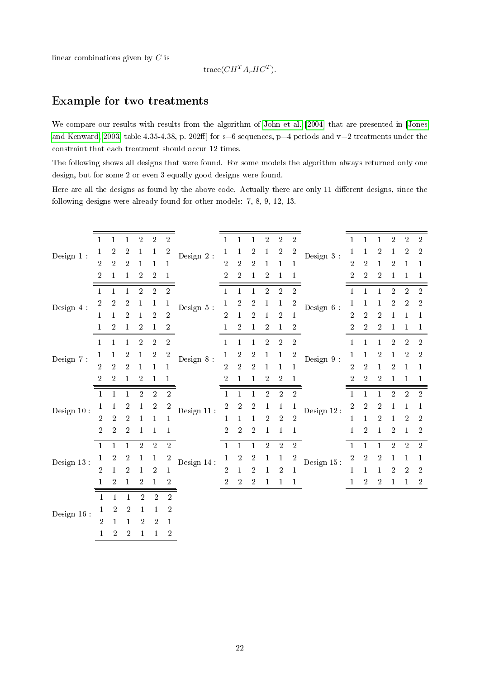linear combinations given by C is

$$
trace(CH^T A_r H C^T).
$$

### Example for two treatments

We compare our results with results from the algorithm of [John et al.](#page-29-12) [\[2004\]](#page-29-12) that are presented in [\[Jones](#page-29-11) [and Kenward, 2003,](#page-29-11) table 4.35-4.38, p. 202ff] for  $s=6$  sequences, p=4 periods and v=2 treatments under the constraint that each treatment should occur 12 times.

The following shows all designs that were found. For some models the algorithm always returned only one design, but for some 2 or even 3 equally good designs were found.

Here are all the designs as found by the above code. Actually there are only 11 different designs, since the following designs were already found for other models: 7, 8, 9, 12, 13.

| Design $1$ :  | 1                | 1                     | $\mathbf{1}$        | $\overline{2}$             | $\overline{2}$   | $\overline{2}$                 | Design $2\,$ :               | $\mathbf{1}$     | 1              | $\mathbf{1}$     | $\sqrt{2}$       | $\sqrt{2}$     | $\overline{2}$   | Design $3% \left( \left\langle \cdot ,\cdot \right\rangle \right)$ : |                  | 1                | $\mathbf{1}$     | $\overline{2}$   | $\overline{2}$   | $\,2$        |
|---------------|------------------|-----------------------|---------------------|----------------------------|------------------|--------------------------------|------------------------------|------------------|----------------|------------------|------------------|----------------|------------------|----------------------------------------------------------------------|------------------|------------------|------------------|------------------|------------------|--------------|
|               | 1                | $\boldsymbol{2}$      | $\overline{2}$      | 1                          | 1                | $\overline{2}$                 |                              | 1                |                | $\boldsymbol{2}$ | $\mathbf{1}$     | $\overline{2}$ | $\boldsymbol{2}$ |                                                                      | 1                | 1                | $\boldsymbol{2}$ | 1                | $\overline{2}$   | $\,2$        |
|               | $\overline{2}$   | $\sqrt{2}$            | $\overline{2}$      | 1                          | 1                | $\mathbf 1$                    |                              | $\overline{2}$   | $\overline{2}$ | $\overline{2}$   | 1                | 1              | $\mathbf 1$      |                                                                      | $\overline{2}$   | $\overline{2}$   | 1                | $\overline{2}$   | 1                | $\mathbf 1$  |
|               | $\overline{2}$   | 1                     | $\mathbf 1$         | $\boldsymbol{2}$           | $\overline{2}$   | 1                              |                              | $\overline{2}$   | $\sqrt{2}$     | $\mathbf{1}$     | $\boldsymbol{2}$ | 1              | $\mathbf{1}$     |                                                                      | $\overline{2}$   | $\overline{2}$   | $\overline{2}$   | 1                | 1                | $\mathbf{1}$ |
| Design 4 :    | $\mathbf{1}$     | $\mathbf{1}$          | $\mathbf{1}$        | $\overline{2}$             | $\overline{2}$   | $\overline{2}$                 |                              | $\mathbf{1}$     | 1              | $\mathbf{1}$     | $\overline{2}$   | $\sqrt{2}$     | $\sqrt{2}$       |                                                                      | $\mathbf{1}$     | $\mathbf{1}$     | $\mathbf{1}$     | $\overline{2}$   | $\overline{2}$   | $\sqrt{2}$   |
|               | $\boldsymbol{2}$ | 2                     | $\overline{2}$      | 1                          | 1                | 1                              |                              | 1                | 2              | $\boldsymbol{2}$ | 1                | 1              | $\overline{2}$   |                                                                      | 1                | 1                | 1                | 2                | $\boldsymbol{2}$ | $\sqrt{2}$   |
|               | $\mathbf{1}$     | $\mathbf{1}$          | $\sqrt{2}$          | $\mathbf 1$                | $\overline{2}$   | $\overline{2}$                 | Design 5 :                   | $\overline{2}$   | 1              | $\sqrt{2}$       | $\mathbf{1}$     | $\sqrt{2}$     | $\mathbf{1}$     | Design $6$ :                                                         | $\overline{2}$   | $\overline{2}$   | $\sqrt{2}$       | 1                | $\mathbf{1}$     | $\mathbf 1$  |
|               | 1                | $\sqrt{2}$            | $\mathbf 1$         | $\sqrt{2}$                 | 1                | $\boldsymbol{2}$               |                              | 1                | $\overline{2}$ | $\mathbf{1}$     | $\,2$            | 1              | $\sqrt{2}$       |                                                                      | $\boldsymbol{2}$ | $\overline{2}$   | $\sqrt{2}$       | 1                | 1                | 1            |
| Design 7 :    | $\mathbf{1}$     | 1                     | 1                   | $\overline{2}$             | $\sqrt{2}$       | $\overline{2}$                 |                              | $\mathbf{1}$     | 1              | $\mathbf{1}$     | $\sqrt{2}$       | $\sqrt{2}$     | $\overline{2}$   | Design 9:                                                            | $\mathbf{1}$     | $\mathbf{1}$     | $\mathbf{1}$     | $\overline{2}$   | $\overline{2}$   | $\,2$        |
|               | 1                | 1                     | $\overline{2}$      | 1                          | $\boldsymbol{2}$ | $\overline{c}$                 |                              | $\mathbf 1$      | $\overline{2}$ | $\boldsymbol{2}$ | $\mathbf{1}$     | 1              | $\boldsymbol{2}$ |                                                                      | 1                | 1                | $\boldsymbol{2}$ | 1                | $\boldsymbol{2}$ | $\sqrt{2}$   |
|               | $\overline{2}$   | $\sqrt{2}$            | $\overline{2}$      | $\mathbf{1}$               | $\mathbf{1}$     | $\mathbf{1}$                   | Design 8 :                   | $\sqrt{2}$       | $\overline{2}$ | $\sqrt{2}$       | $\mathbf{1}$     | $\mathbf{1}$   | $\mathbf{1}$     |                                                                      | $\overline{2}$   | $\sqrt{2}$       | $\mathbf{1}$     | $\boldsymbol{2}$ | $\mathbf{1}$     | $\mathbf 1$  |
|               | 2                | $\boldsymbol{2}$      | $\mathbf 1$         | $\boldsymbol{2}$           | 1                | 1                              |                              | $\boldsymbol{2}$ | 1              | $\mathbf{1}$     | $\boldsymbol{2}$ | $\overline{2}$ | $\mathbf{1}$     |                                                                      | $\overline{2}$   | $\boldsymbol{2}$ | $\overline{2}$   | 1                | 1                | $\mathbf{1}$ |
|               | $\mathbf{1}$     | $\mathbf{1}$          | $\mathbf{1}$        | $\sqrt{2}$                 | $\sqrt{2}$       | $\,2$                          |                              | $\mathbf{1}$     | $\mathbf{1}$   | $\mathbf{1}$     | $\sqrt{2}$       | $\,2$          | $\sqrt{2}$       |                                                                      | $\mathbf{1}$     | $\mathbf{1}$     | $\mathbf{1}$     | $\overline{2}$   | $\overline{2}$   | $\sqrt{2}$   |
|               |                  |                       |                     |                            |                  |                                |                              |                  |                |                  |                  |                |                  |                                                                      |                  |                  |                  |                  |                  |              |
|               |                  |                       |                     |                            |                  |                                |                              |                  |                |                  |                  |                |                  |                                                                      |                  |                  |                  |                  |                  |              |
| Design $10$ : | 1                | 1                     | $\boldsymbol{2}$    | $\mathbf{1}$               | $\,2$            | $\boldsymbol{2}$               | $\it Design\;11$ :           | $\boldsymbol{2}$ | $\sqrt{2}$     | $\sqrt{2}$       | $\mathbf{1}$     | 1              | $\mathbf{1}$     | Design $12% \left( \mathcal{N}_{\mathrm{H}}\right)$ :                | $\boldsymbol{2}$ | $\overline{2}$   | $\sqrt{2}$       | 1                | 1                | $\mathbf 1$  |
|               | $\overline{2}$   | $\overline{2}$        | $\sqrt{2}$          | 1                          | 1                | $\mathbf{1}$                   |                              | 1                | 1              | $\mathbf 1$      | $\overline{2}$   | $\sqrt{2}$     | $\sqrt{2}$       |                                                                      | 1                | 1                | $\sqrt{2}$       | 1                | $\overline{2}$   | $\,2$        |
|               | $\overline{2}$   | $\overline{2}$        | $\overline{2}$      | $\mathbf{1}$               | $\mathbf{1}$     | $\mathbf{1}$                   |                              | $\overline{2}$   | $\overline{2}$ | $\overline{2}$   | $\mathbf{1}$     | $\mathbf{1}$   | $\mathbf 1$      |                                                                      |                  | $\overline{2}$   | $\mathbf{1}$     | $\overline{2}$   | $\mathbf{1}$     | $\,2$        |
|               | $\mathbf{1}$     | $\mathbf{1}$          | $\mathbf{1}$        | $\sqrt{2}$                 | $\sqrt{2}$       | $\overline{2}$                 |                              | $\mathbf{1}$     | $\mathbf{1}$   | $\mathbf{1}$     | $\overline{2}$   | $\sqrt{2}$     | $\sqrt{2}$       |                                                                      | $\mathbf{1}$     | $\mathbf{1}$     | $\mathbf{1}$     | $\overline{2}$   | $\overline{2}$   | $\sqrt{2}$   |
| Design 13:    | 1                | $\boldsymbol{2}$      | $\sqrt{2}$          | $\mathbf 1$                | $\mathbf{1}$     | $\overline{\mathbf{c}}$        | $\operatorname{Design}$ 14 : | $\mathbf 1$      | $\overline{2}$ | $\sqrt{2}$       | $\mathbf{1}$     | $\mathbf{1}$   | $\sqrt{2}$       | Design $15$ :                                                        | $\boldsymbol{2}$ | $\overline{2}$   | $\sqrt{2}$       | 1                | $\mathbf{1}$     | $\mathbf{1}$ |
|               | $\overline{2}$   | $\mathbf{1}$          | $\overline{2}$      | 1                          | $\,2$            | $\mathbf{1}$                   |                              | $\overline{2}$   | 1              | $\overline{2}$   | 1                | $\overline{2}$ | $\mathbf{1}$     |                                                                      | $\mathbf{1}$     | $\mathbf{1}$     | $\mathbf{1}$     | $\overline{2}$   | $\overline{2}$   | $\sqrt{2}$   |
|               | 1                | $\overline{2}$        | $\mathbf{1}$        | $\boldsymbol{2}$           | $\mathbf{1}$     | $\boldsymbol{2}$               |                              | $\overline{2}$   | $\overline{2}$ | $\overline{2}$   | $\mathbf{1}$     | $\mathbf{1}$   | $\,1$            |                                                                      | 1                | $\overline{2}$   | $\overline{2}$   | $\mathbf{1}$     | $\mathbf{1}$     | $\,2$        |
|               | $\mathbf{1}$     | $\mathbf{1}$          | $\mathbf{1}$        | $\overline{2}$             | $\overline{2}$   | $\overline{2}$                 |                              |                  |                |                  |                  |                |                  |                                                                      |                  |                  |                  |                  |                  |              |
|               | 1                | 2                     | $\overline{2}$      | $\mathbf{1}$               | $\mathbf{1}$     | $\overline{2}$                 |                              |                  |                |                  |                  |                |                  |                                                                      |                  |                  |                  |                  |                  |              |
| Design $16$ : | $\overline{2}$   | 1<br>$\boldsymbol{2}$ | 1<br>$\overline{2}$ | $\sqrt{2}$<br>$\mathbf{1}$ | $\overline{2}$   | $\mathbf{1}$<br>$\overline{2}$ |                              |                  |                |                  |                  |                |                  |                                                                      |                  |                  |                  |                  |                  |              |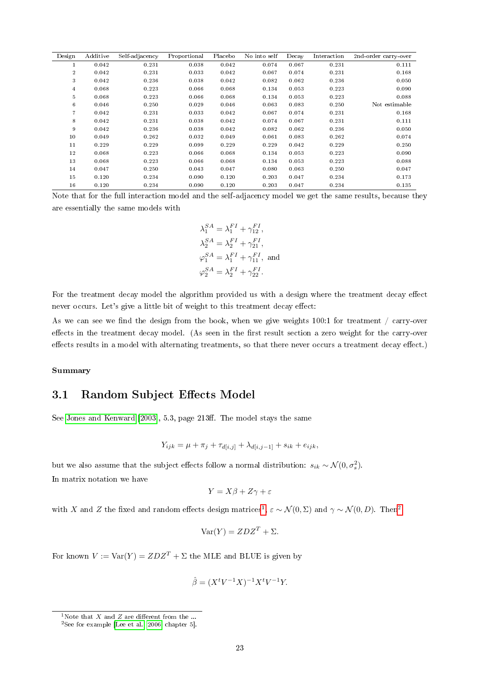| Design           | Additive | Self-adjacency | Proportional | Placebo | No into self | Decay | Interaction | 2nd-order carry-over |
|------------------|----------|----------------|--------------|---------|--------------|-------|-------------|----------------------|
| 1                | 0.042    | 0.231          | 0.038        | 0.042   | 0.074        | 0.067 | 0.231       | 0.111                |
| $\boldsymbol{2}$ | 0.042    | 0.231          | 0.033        | 0.042   | 0.067        | 0.074 | 0.231       | 0.168                |
| 3                | 0.042    | 0.236          | 0.038        | 0.042   | 0.082        | 0.062 | 0.236       | 0.050                |
| 4                | 0.068    | 0.223          | 0.066        | 0.068   | 0.134        | 0.053 | 0.223       | 0.090                |
| 5                | 0.068    | 0.223          | 0.066        | 0.068   | 0.134        | 0.053 | 0.223       | 0.088                |
| 6                | 0.046    | 0.250          | 0.029        | 0.046   | 0.063        | 0.083 | 0.250       | Not estimable        |
| $\overline{7}$   | 0.042    | 0.231          | 0.033        | 0.042   | 0.067        | 0.074 | 0.231       | 0.168                |
| 8                | 0.042    | 0.231          | 0.038        | 0.042   | 0.074        | 0.067 | 0.231       | 0.111                |
| 9                | 0.042    | 0.236          | 0.038        | 0.042   | 0.082        | 0.062 | 0.236       | 0.050                |
| 10               | 0.049    | 0.262          | 0.032        | 0.049   | 0.061        | 0.083 | 0.262       | 0.074                |
| 11               | 0.229    | 0.229          | 0.099        | 0.229   | 0.229        | 0.042 | 0.229       | 0.250                |
| 12               | 0.068    | 0.223          | 0.066        | 0.068   | 0.134        | 0.053 | 0.223       | 0.090                |
| 13               | 0.068    | 0.223          | 0.066        | 0.068   | 0.134        | 0.053 | 0.223       | 0.088                |
| 14               | 0.047    | 0.250          | 0.043        | 0.047   | 0.080        | 0.063 | 0.250       | 0.047                |
| 15               | 0.120    | 0.234          | 0.090        | 0.120   | 0.203        | 0.047 | 0.234       | 0.173                |
| 16               | 0.120    | 0.234          | 0.090        | 0.120   | 0.203        | 0.047 | 0.234       | 0.135                |

Note that for the full interaction model and the self-adjacency model we get the same results, because they are essentially the same models with

> $\lambda_1^{SA} = \lambda_1^{FI} + \gamma_{12}^{FI},$  $\lambda_2^{SA} = \lambda_2^{FI} + \gamma_{21}^{FI},$  $\varphi_1^{SA} = \lambda_1^{FI} + \gamma_{11}^{FI}$ , and  $\varphi_2^{SA} = \lambda_2^{FI} + \gamma_{22}^{FI}.$

For the treatment decay model the algorithm provided us with a design where the treatment decay effect never occurs. Let's give a little bit of weight to this treatment decay effect:

As we can see we find the design from the book, when we give weights 100:1 for treatment  $/$  carry-over effects in the treatment decay model. (As seen in the first result section a zero weight for the carry-over effects results in a model with alternating treatments, so that there never occurs a treatment decay effect.)

#### Summary

### <span id="page-23-0"></span>3.1 Random Subject Effects Model

See [Jones and Kenward](#page-29-11) [\[2003\]](#page-29-11), 5.3, page 213ff. The model stays the same

$$
Y_{ijk} = \mu + \pi_j + \tau_{d[i,j]} + \lambda_{d[i,j-1]} + s_{ik} + e_{ijk},
$$

but we also assume that the subject effects follow a normal distribution:  $s_{ik} \sim \mathcal{N}(0, \sigma_s^2)$ .

In matrix notation we have

$$
Y = X\beta + Z\gamma + \varepsilon
$$

with X and Z the fixed and random effects design matrices<sup>[1](#page-0-0)</sup>,  $\varepsilon \sim \mathcal{N}(0, \Sigma)$  and  $\gamma \sim \mathcal{N}(0, D)$ . Then<sup>[2](#page-0-0)</sup>

$$
Var(Y) = ZDZ^{T} + \Sigma.
$$

For known  $V := \text{Var}(Y) = ZDZ^{T} + \Sigma$  the MLE and BLUE is given by

$$
\hat{\beta} = (X^t V^{-1} X)^{-1} X^t V^{-1} Y.
$$

<sup>&</sup>lt;sup>1</sup>Note that  $X$  and  $Z$  are different from the ...

<sup>2</sup>See for example [\[Lee et al., 2006,](#page-29-13) chapter 5].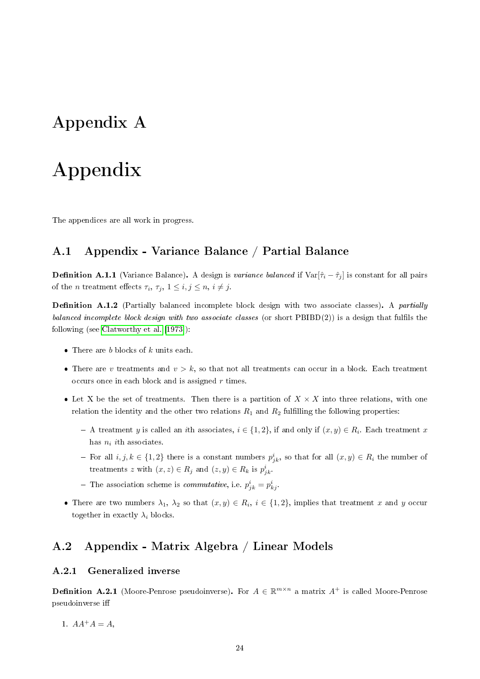## <span id="page-24-4"></span><span id="page-24-0"></span>Appendix A

# Appendix

The appendices are all work in progress.

## <span id="page-24-1"></span>A.1 Appendix - Variance Balance / Partial Balance

**Definition A.1.1** (Variance Balance). A design is variance balanced if  $Var[\hat{\tau}_i - \hat{\tau}_j]$  is constant for all pairs of the *n* treatment effects  $\tau_i$ ,  $\tau_j$ ,  $1 \leq i, j \leq n$ ,  $i \neq j$ .

**Definition A.1.2** (Partially balanced incomplete block design with two associate classes). A *partially* balanced incomplete block design with two associate classes (or short  $\text{PBIBD}(2)$ ) is a design that fulfils the following (see [Clatworthy et al.](#page-28-15) [\[1973\]](#page-28-15)):

- There are  $b$  blocks of  $k$  units each.
- There are v treatments and  $v > k$ , so that not all treatments can occur in a block. Each treatment occurs once in each block and is assigned  $r$  times.
- Let X be the set of treatments. Then there is a partition of  $X \times X$  into three relations, with one relation the identity and the other two relations  $R_1$  and  $R_2$  fulfilling the following properties:
	- A treatment y is called an ith associates,  $i \in \{1, 2\}$ , if and only if  $(x, y) \in R_i$ . Each treatment x has  $n_i$  ith associates.
	- For all  $i, j, k \in \{1, 2\}$  there is a constant numbers  $p_{jk}^i$ , so that for all  $(x, y) \in R_i$  the number of treatments z with  $(x, z) \in R_j$  and  $(z, y) \in R_k$  is  $p_{jk}^i$ .
	- The association scheme is *commutative*, i.e.  $p_{jk}^i = p_{kj}^i$ .
- There are two numbers  $\lambda_1, \lambda_2$  so that  $(x, y) \in R_i$ ,  $i \in \{1, 2\}$ , implies that treatment x and y occur together in exactly  $\lambda_i$  blocks.

### <span id="page-24-2"></span>A.2 Appendix - Matrix Algebra / Linear Models

#### <span id="page-24-3"></span>A.2.1 Generalized inverse

**Definition A.2.1** (Moore-Penrose pseudoinverse). For  $A \in \mathbb{R}^{m \times n}$  a matrix  $A^+$  is called Moore-Penrose pseudoinverse i

1.  $AA^+A = A$ ,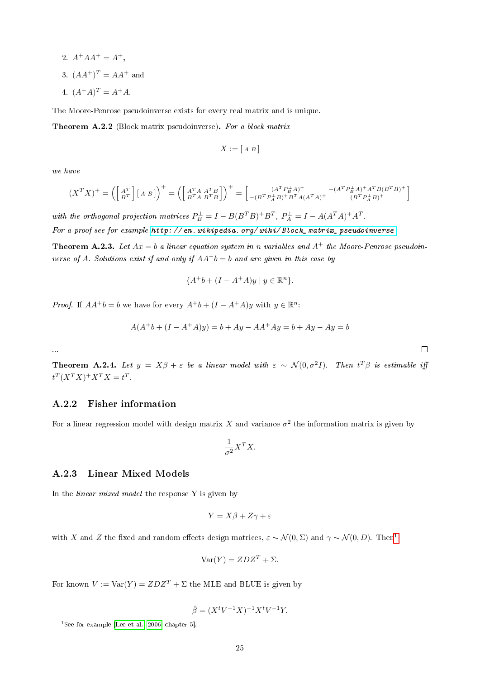<span id="page-25-2"></span>2. 
$$
A^{+}AA^{+} = A^{+}
$$
,  
3.  $(AA^{+})^{T} = AA^{+}$  and

4.  $(A^+A)^T = A^+A$ .

The Moore-Penrose pseudoinverse exists for every real matrix and is unique.

Theorem A.2.2 (Block matrix pseudoinverse). For a block matrix

$$
X := [A \ B]
$$

we have

...

$$
(X^T X)^+ = \left( \begin{bmatrix} A^T \\ B^T \end{bmatrix} [A \ B] \right)^+ = \left( \begin{bmatrix} A^T A & A^T B \\ B^T A & B^T B \end{bmatrix} \right)^+ = \begin{bmatrix} (A^T P_B^{\perp} A)^+ & -(A^T P_B^{\perp} A)^+ A^T B (B^T B)^+ \\ -(B^T P_A^{\perp} B)^+ B^T A (A^T A)^+ & (B^T P_A^{\perp} B)^+ \end{bmatrix}
$$

with the orthogonal projection matrices  $P_B^{\perp} = I - B(B^TB)^+B^T$ ,  $P_A^{\perp} = I - A(A^TA)^+A^T$ . For a proof see for example http: // en. wikipedia. org/wiki/Block\_matrix\_pseudoinverse.

**Theorem A.2.3.** Let  $Ax = b$  a linear equation system in n variables and  $A^+$  the Moore-Penrose pseudoinverse of A. Solutions exist if and only if  $AA^+b = b$  and are given in this case by

$$
\{A^+b + (I - A^+A)y \mid y \in \mathbb{R}^n\}.
$$

*Proof.* If  $AA^+b = b$  we have for every  $A^+b + (I - A^+A)y$  with  $y \in \mathbb{R}^n$ :

$$
A(A^{+}b + (I - A^{+}A)y) = b + Ay - AA^{+}Ay = b + Ay - Ay = b
$$

**Theorem A.2.4.** Let  $y = X\beta + \varepsilon$  be a linear model with  $\varepsilon \sim \mathcal{N}(0, \sigma^2 I)$ . Then  $t^T\beta$  is estimable iff  $t^T (X^T X)^+ X^T X = t^T$ .

#### <span id="page-25-0"></span>A.2.2 Fisher information

For a linear regression model with design matrix X and variance  $\sigma^2$  the information matrix is given by

$$
\frac{1}{\sigma^2} X^T X.
$$

#### <span id="page-25-1"></span>A.2.3 Linear Mixed Models

In the *linear mixed model* the response  $Y$  is given by

$$
Y = X\beta + Z\gamma + \varepsilon
$$

with X and Z the fixed and random effects design matrices,  $\varepsilon \sim \mathcal{N}(0, \Sigma)$  and  $\gamma \sim \mathcal{N}(0, D)$ . Then<sup>[1](#page-0-0)</sup>

$$
Var(Y) = ZDZ^{T} + \Sigma.
$$

For known  $V := \text{Var}(Y) = ZDZ^{T} + \Sigma$  the MLE and BLUE is given by

$$
\hat{\beta} = (X^t V^{-1} X)^{-1} X^t V^{-1} Y.
$$

| I |  |  |
|---|--|--|
|   |  |  |
|   |  |  |

<sup>&</sup>lt;sup>1</sup>See for example [\[Lee et al., 2006,](#page-29-13) chapter 5].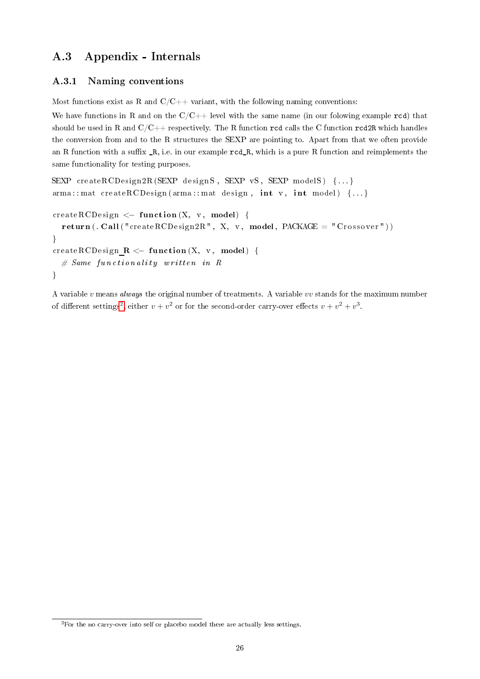## <span id="page-26-0"></span>A.3 Appendix - Internals

### <span id="page-26-1"></span>A.3.1 Naming conventions

Most functions exist as R and  $C/C++$  variant, with the following naming conventions:

We have functions in R and on the  $C/C++$  level with the same name (in our folowing example rcd) that should be used in R and  $C/C++$  respectively. The R function rcd calls the C function rcd2R which handles the conversion from and to the R structures the SEXP are pointing to. Apart from that we often provide an R function with a suffix  $_R$ , i.e. in our example  $rcd_R$ , which is a pure R function and reimplements the same functionality for testing purposes.

```
SEXP createRCDesign2R (SEXP designS, SEXP vS, SEXP modelS) {...}
\text{arma} :: \text{mat} \ \ \text{createRCDesign} \ \ \text{(arma)} : \text{mat} \ \ \text{design} \ , \ \ \text{int} \ \ \text{v} , \ \ \text{int} \ \ \text{model} \ \ \ \{\dots\}createRCDesign \leq function (X, v, \text{ model}) {
   return (. Call ("createRCDesign2R", X, v, model, PACKAGE = "Crossover"))
```

```
}
createRCDesign R \leftarrow function (X, v, \text{ model}) {
  # Same functionality written in R
}
```
<span id="page-26-2"></span>A variable v means always the original number of treatments. A variable vv stands for the maximum number of different settings<sup>[2](#page-0-0)</sup>, either  $v + v^2$  or for the second-order carry-over effects  $v + v^2 + v^3$ .

<sup>&</sup>lt;sup>2</sup>For the no carry-over into self or placebo model there are actually less settings.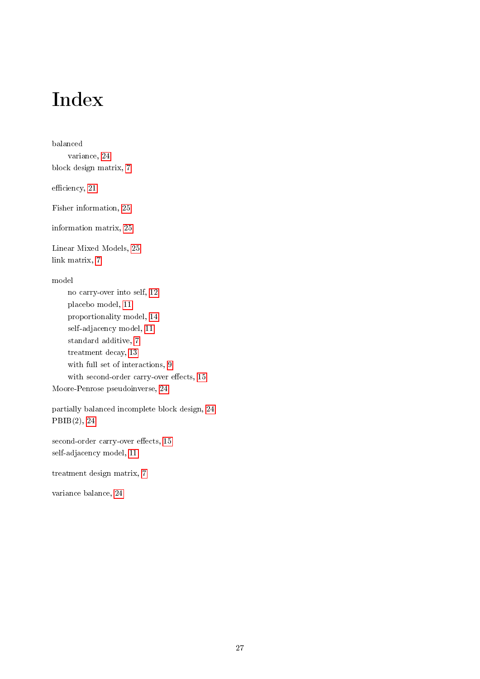# Index

balanced variance, [24](#page-24-4) block design matrix, [7](#page-7-2) efficiency, [21](#page-21-0) Fisher information, [25](#page-25-2) information matrix, [25](#page-25-2) Linear Mixed Models, [25](#page-25-2) link matrix, [7](#page-7-2) model no carry-over into self, [12](#page-12-1) placebo model, [11](#page-11-2) proportionality model, [14](#page-14-1) self-adjacency model, [11](#page-11-2) standard additive, [7](#page-7-2) treatment decay, [13](#page-13-1) with full set of interactions, [9](#page-9-1) with second-order carry-over effects, [15](#page-15-1) Moore-Penrose pseudoinverse, [24](#page-24-4) partially balanced incomplete block design, [24](#page-24-4) PBIB(2), [24](#page-24-4) second-order carry-over effects, [15](#page-15-1) self-adjacency model, [11](#page-11-2) treatment design matrix, [7](#page-7-2)

variance balance, [24](#page-24-4)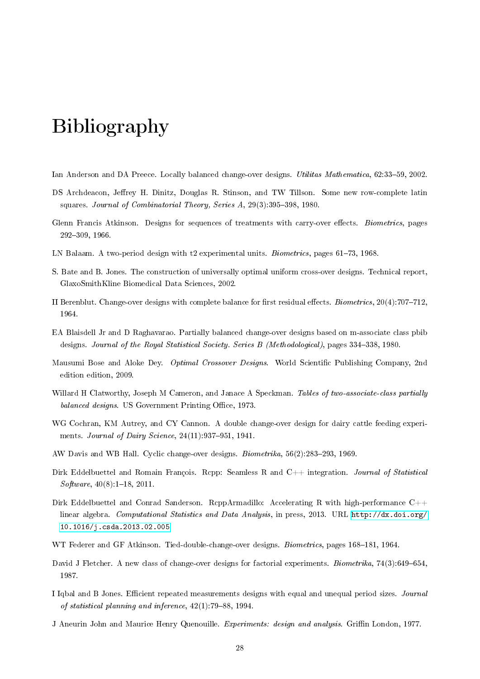# <span id="page-28-0"></span>Bibliography

- <span id="page-28-3"></span>Ian Anderson and DA Preece. Locally balanced change-over designs. *Utilitas Mathematica*, 62:33–59, 2002.
- <span id="page-28-4"></span>DS Archdeacon, Jeffrey H. Dinitz, Douglas R. Stinson, and TW Tillson. Some new row-complete latin squares. Journal of Combinatorial Theory, Series  $A$ , 29(3):395-398, 1980.
- <span id="page-28-5"></span>Glenn Francis Atkinson. Designs for sequences of treatments with carry-over effects. Biometrics, pages 292309, 1966.
- <span id="page-28-6"></span>LN Balaam. A two-period design with t2 experimental units. Biometrics, pages 61–73, 1968.
- <span id="page-28-14"></span>S. Bate and B. Jones. The construction of universally optimal uniform cross-over designs. Technical report, GlaxoSmithKline Biomedical Data Sciences, 2002.
- <span id="page-28-7"></span>II Berenblut. Change-over designs with complete balance for first residual effects. *Biometrics*,  $20(4)$ :  $707-712$ , 1964.
- <span id="page-28-8"></span>EA Blaisdell Jr and D Raghavarao. Partially balanced change-over designs based on m-associate class pbib designs. Journal of the Royal Statistical Society. Series B (Methodological), pages 334–338, 1980.
- Mausumi Bose and Aloke Dey. *Optimal Crossover Designs*. World Scientific Publishing Company, 2nd edition edition, 2009.
- <span id="page-28-15"></span>Willard H Clatworthy, Joseph M Cameron, and Janace A Speckman. Tables of two-associate-class partially balanced designs. US Government Printing Office, 1973.
- <span id="page-28-13"></span>WG Cochran, KM Autrey, and CY Cannon. A double change-over design for dairy cattle feeding experiments. Journal of Dairy Science,  $24(11):937-951$ , 1941.
- <span id="page-28-9"></span>AW Davis and WB Hall. Cyclic change-over designs. *Biometrika*, 56(2):283–293, 1969.
- <span id="page-28-1"></span>Dirk Eddelbuettel and Romain François. Repp: Seamless R and  $C++$  integration. *Journal of Statistical*  $Software, 40(8):1-18, 2011.$
- <span id="page-28-2"></span>Dirk Eddelbuettel and Conrad Sanderson. RcppArmadillo: Accelerating R with high-performance C++ linear algebra. Computational Statistics and Data Analysis, in press, 2013. URL [http://dx.doi.org/](http://dx.doi.org/10.1016/j.csda.2013.02.005) [10.1016/j.csda.2013.02.005.](http://dx.doi.org/10.1016/j.csda.2013.02.005)
- <span id="page-28-10"></span>WT Federer and GF Atkinson. Tied-double-change-over designs. *Biometrics*, pages 168–181, 1964.
- <span id="page-28-11"></span>David J Fletcher. A new class of change-over designs for factorial experiments. *Biometrika*,  $74(3):649-654$ , 1987.
- <span id="page-28-12"></span>I Iqbal and B Jones. Efficient repeated measurements designs with equal and unequal period sizes. Journal of statistical planning and inference,  $42(1)$ : 79–88, 1994.
- J Aneurin John and Maurice Henry Quenouille. Experiments: design and analysis. Griffin London, 1977.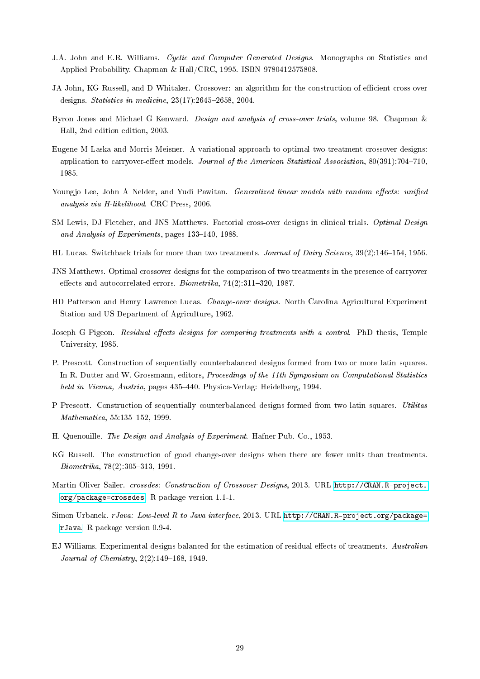- J.A. John and E.R. Williams. Cyclic and Computer Generated Designs. Monographs on Statistics and Applied Probability. Chapman & Hall/CRC, 1995. ISBN 9780412575808.
- <span id="page-29-12"></span>JA John, KG Russell, and D Whitaker. Crossover: an algorithm for the construction of efficient cross-over designs. *Statistics in medicine*,  $23(17):2645-2658$ ,  $2004$ .
- <span id="page-29-11"></span>Byron Jones and Michael G Kenward. Design and analysis of cross-over trials, volume 98. Chapman & Hall, 2nd edition edition, 2003.
- Eugene M Laska and Morris Meisner. A variational approach to optimal two-treatment crossover designs: application to carryover-effect models. Journal of the American Statistical Association, 80(391):704-710, 1985.
- <span id="page-29-13"></span>Youngjo Lee, John A Nelder, and Yudi Pawitan. *Generalized linear models with random effects: unified* analysis via H-likelihood. CRC Press, 2006.
- <span id="page-29-1"></span>SM Lewis, DJ Fletcher, and JNS Matthews. Factorial cross-over designs in clinical trials. *Optimal Design* and Analysis of Experiments, pages  $133-140$ , 1988.
- <span id="page-29-7"></span>HL Lucas. Switchback trials for more than two treatments. Journal of Dairy Science, 39(2):146–154, 1956.
- JNS Matthews. Optimal crossover designs for the comparison of two treatments in the presence of carryover effects and autocorrelated errors. Biometrika,  $74(2):311-320$ , 1987.
- <span id="page-29-2"></span>HD Patterson and Henry Lawrence Lucas. Change-over designs. North Carolina Agricultural Experiment Station and US Department of Agriculture, 1962.
- <span id="page-29-3"></span>Joseph G Pigeon. Residual effects designs for comparing treatments with a control. PhD thesis, Temple University, 1985.
- <span id="page-29-9"></span>P. Prescott. Construction of sequentially counterbalanced designs formed from two or more latin squares. In R. Dutter and W. Grossmann, editors, Proceedings of the 11th Symposium on Computational Statistics held in Vienna, Austria, pages 435-440. Physica-Verlag: Heidelberg, 1994.
- <span id="page-29-4"></span>P Prescott. Construction of sequentially counterbalanced designs formed from two latin squares. Utilitas  $Mathematica, 55:135-152, 1999.$
- <span id="page-29-5"></span>H. Quenouille. The Design and Analysis of Experiment. Hafner Pub. Co., 1953.
- <span id="page-29-6"></span>KG Russell. The construction of good change-over designs when there are fewer units than treatments.  $Biometrika, 78(2):305-313, 1991.$
- <span id="page-29-10"></span>Martin Oliver Sailer. crossdes: Construction of Crossover Designs, 2013. URL [http://CRAN.R-project.](http://CRAN.R-project.org/package=crossdes) [org/package=crossdes.](http://CRAN.R-project.org/package=crossdes) R package version 1.1-1.
- <span id="page-29-0"></span>Simon Urbanek. rJava: Low-level R to Java interface, 2013. URL [http://CRAN.R-project.org/package=](http://CRAN.R-project.org/package=rJava) [rJava.](http://CRAN.R-project.org/package=rJava) R package version 0.9-4.
- <span id="page-29-8"></span>EJ Williams. Experimental designs balanced for the estimation of residual effects of treatments. Australian Journal of Chemistry,  $2(2)$ :149-168, 1949.